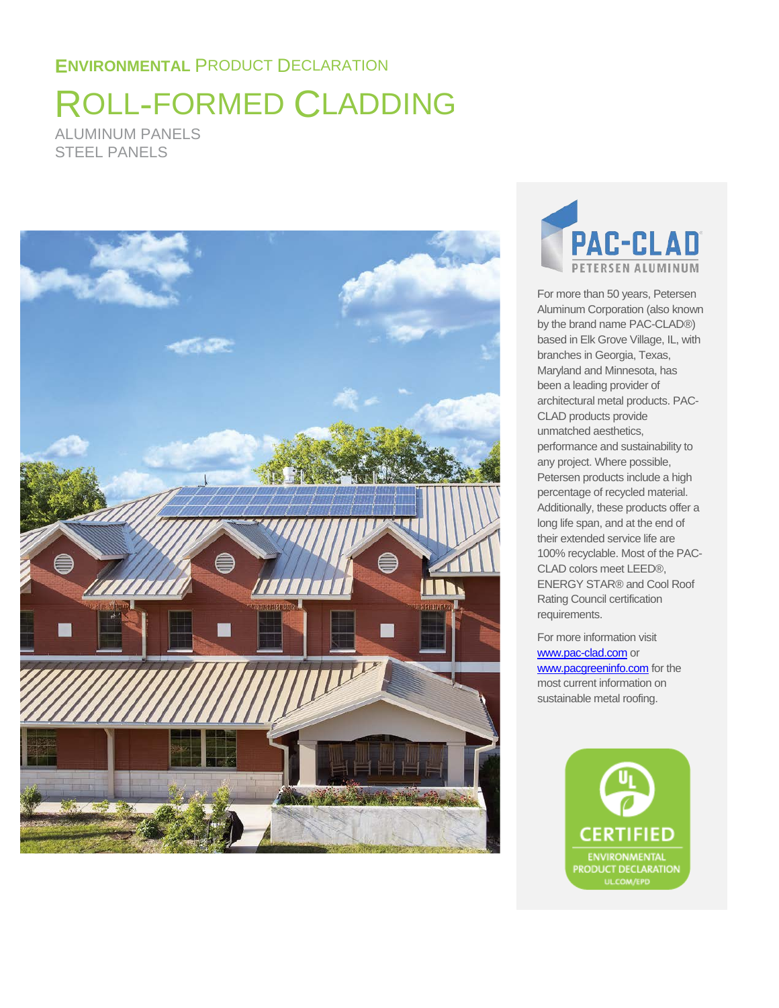# ROLL-FORMED CLADDING ALUMINUM PANELS STEEL PANELS





For more than 50 years, Petersen Aluminum Corporation (also known by the brand name PAC-CLAD®) based in Elk Grove Village, IL, with branches in Georgia, Texas, Maryland and Minnesota, has been a leading provider of architectural metal products. PAC-CLAD products provide unmatched aesthetics, performance and sustainability to any project. Where possible, Petersen products include a high percentage of recycled material. Additionally, these products offer a long life span, and at the end of their extended service life are 100% recyclable. Most of the PAC-CLAD colors meet LEED®, ENERGY STAR® and Cool Roof Rating Council certification requirements.

For more information visit [www.pac-clad.com](http://www.pac-clad.com/) or [www.pacgreeninfo.com](http://www.pacgreeninfo.com/) for the most current information on sustainable metal roofing.

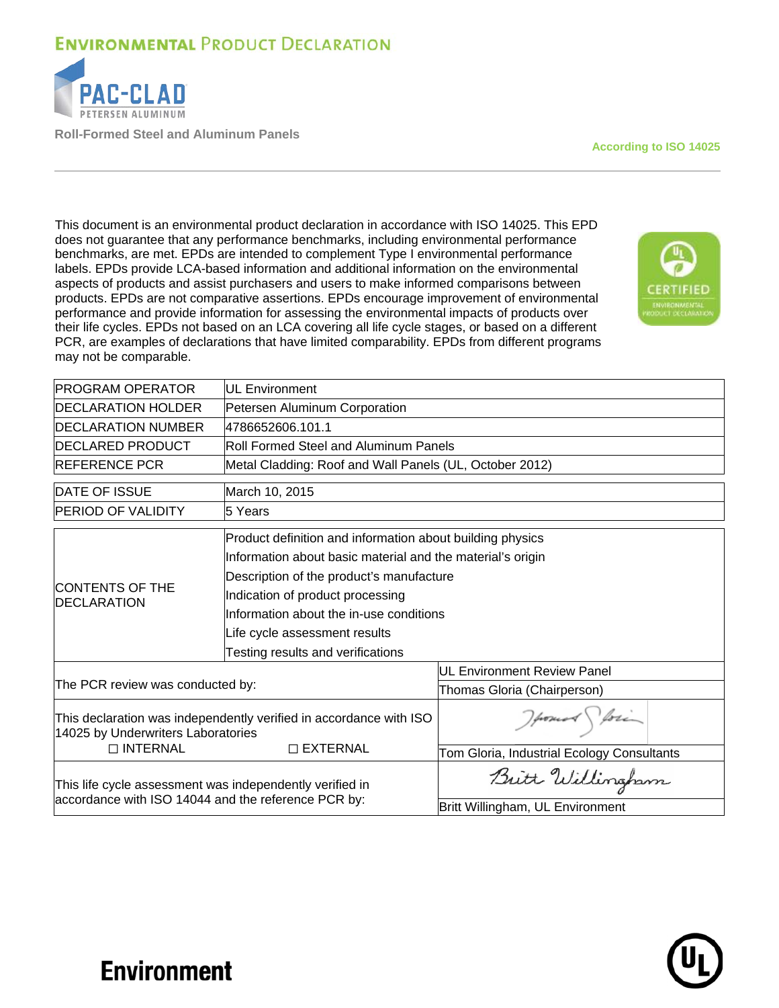

**Roll-Formed Steel and Aluminum Panels**

**According to ISO 14025**

This document is an environmental product declaration in accordance with ISO 14025. This EPD does not guarantee that any performance benchmarks, including environmental performance benchmarks, are met. EPDs are intended to complement Type I environmental performance labels. EPDs provide LCA-based information and additional information on the environmental aspects of products and assist purchasers and users to make informed comparisons between products. EPDs are not comparative assertions. EPDs encourage improvement of environmental performance and provide information for assessing the environmental impacts of products over their life cycles. EPDs not based on an LCA covering all life cycle stages, or based on a different PCR, are examples of declarations that have limited comparability. EPDs from different programs may not be comparable.



| <b>PROGRAM OPERATOR</b>                                                                                         | <b>IUL Environment</b>                                     |                                            |  |  |  |  |
|-----------------------------------------------------------------------------------------------------------------|------------------------------------------------------------|--------------------------------------------|--|--|--|--|
| <b>DECLARATION HOLDER</b>                                                                                       | Petersen Aluminum Corporation                              |                                            |  |  |  |  |
| <b>IDECLARATION NUMBER</b>                                                                                      | 4786652606.101.1                                           |                                            |  |  |  |  |
| <b>IDECLARED PRODUCT</b>                                                                                        | <b>Roll Formed Steel and Aluminum Panels</b>               |                                            |  |  |  |  |
| <b>IREFERENCE PCR</b>                                                                                           | Metal Cladding: Roof and Wall Panels (UL, October 2012)    |                                            |  |  |  |  |
| <b>DATE OF ISSUE</b>                                                                                            | March 10, 2015                                             |                                            |  |  |  |  |
| <b>PERIOD OF VALIDITY</b>                                                                                       | 5 Years                                                    |                                            |  |  |  |  |
|                                                                                                                 | Product definition and information about building physics  |                                            |  |  |  |  |
|                                                                                                                 | Information about basic material and the material's origin |                                            |  |  |  |  |
|                                                                                                                 | Description of the product's manufacture                   |                                            |  |  |  |  |
| <b>ICONTENTS OF THE</b><br><b>IDECLARATION</b>                                                                  | Indication of product processing                           |                                            |  |  |  |  |
|                                                                                                                 | Information about the in-use conditions                    |                                            |  |  |  |  |
|                                                                                                                 | Life cycle assessment results                              |                                            |  |  |  |  |
|                                                                                                                 | Testing results and verifications                          |                                            |  |  |  |  |
|                                                                                                                 |                                                            | <b>UL Environment Review Panel</b>         |  |  |  |  |
| The PCR review was conducted by:                                                                                |                                                            | Thomas Gloria (Chairperson)                |  |  |  |  |
| This declaration was independently verified in accordance with ISO<br>14025 by Underwriters Laboratories        |                                                            | Hours for                                  |  |  |  |  |
| $\Box$ INTERNAL                                                                                                 | $\Box$ EXTERNAL                                            | Tom Gloria, Industrial Ecology Consultants |  |  |  |  |
| This life cycle assessment was independently verified in<br>accordance with ISO 14044 and the reference PCR by: |                                                            | Butt Willingham                            |  |  |  |  |
|                                                                                                                 |                                                            | Britt Willingham, UL Environment           |  |  |  |  |

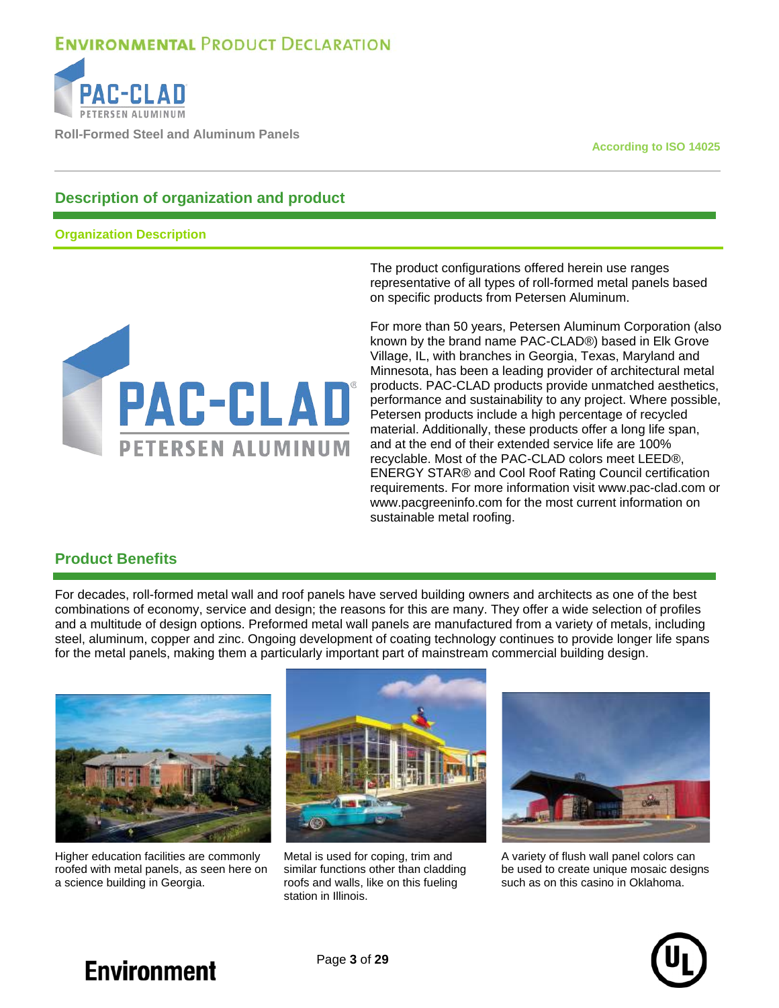

**Roll-Formed Steel and Aluminum Panels**

**According to ISO 14025**

### **Description of organization and product**

**Organization Description**



The product configurations offered herein use ranges representative of all types of roll-formed metal panels based on specific products from Petersen Aluminum.

For more than 50 years, Petersen Aluminum Corporation (also known by the brand name PAC-CLAD®) based in Elk Grove Village, IL, with branches in Georgia, Texas, Maryland and Minnesota, has been a leading provider of architectural metal products. PAC-CLAD products provide unmatched aesthetics, performance and sustainability to any project. Where possible, Petersen products include a high percentage of recycled material. Additionally, these products offer a long life span, and at the end of their extended service life are 100% recyclable. Most of the PAC-CLAD colors meet LEED®, ENERGY STAR® and Cool Roof Rating Council certification requirements. For more information visit www.pac-clad.com or www.pacgreeninfo.com for the most current information on sustainable metal roofing.

### **Product Benefits**

For decades, roll-formed metal wall and roof panels have served building owners and architects as one of the best combinations of economy, service and design; the reasons for this are many. They offer a wide selection of profiles and a multitude of design options. Preformed metal wall panels are manufactured from a variety of metals, including steel, aluminum, copper and zinc. Ongoing development of coating technology continues to provide longer life spans for the metal panels, making them a particularly important part of mainstream commercial building design.



Higher education facilities are commonly roofed with metal panels, as seen here on a science building in Georgia.



Metal is used for coping, trim and similar functions other than cladding roofs and walls, like on this fueling station in Illinois.



A variety of flush wall panel colors can be used to create unique mosaic designs such as on this casino in Oklahoma.

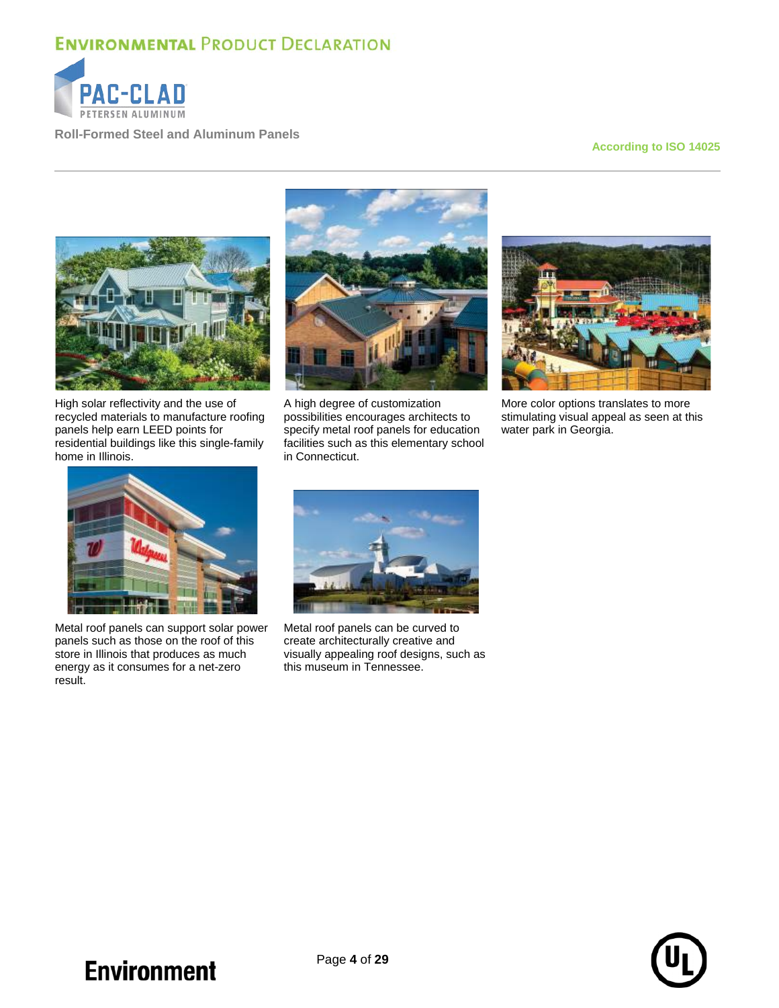

**Roll-Formed Steel and Aluminum Panels**

#### **According to ISO 14025**



High solar reflectivity and the use of recycled materials to manufacture roofing panels help earn LEED points for residential buildings like this single-family home in Illinois.



A high degree of customization possibilities encourages architects to specify metal roof panels for education facilities such as this elementary school in Connecticut.



More color options translates to more stimulating visual appeal as seen at this water park in Georgia.



Metal roof panels can support solar power panels such as those on the roof of this store in Illinois that produces as much energy as it consumes for a net-zero result.



Metal roof panels can be curved to create architecturally creative and visually appealing roof designs, such as this museum in Tennessee.

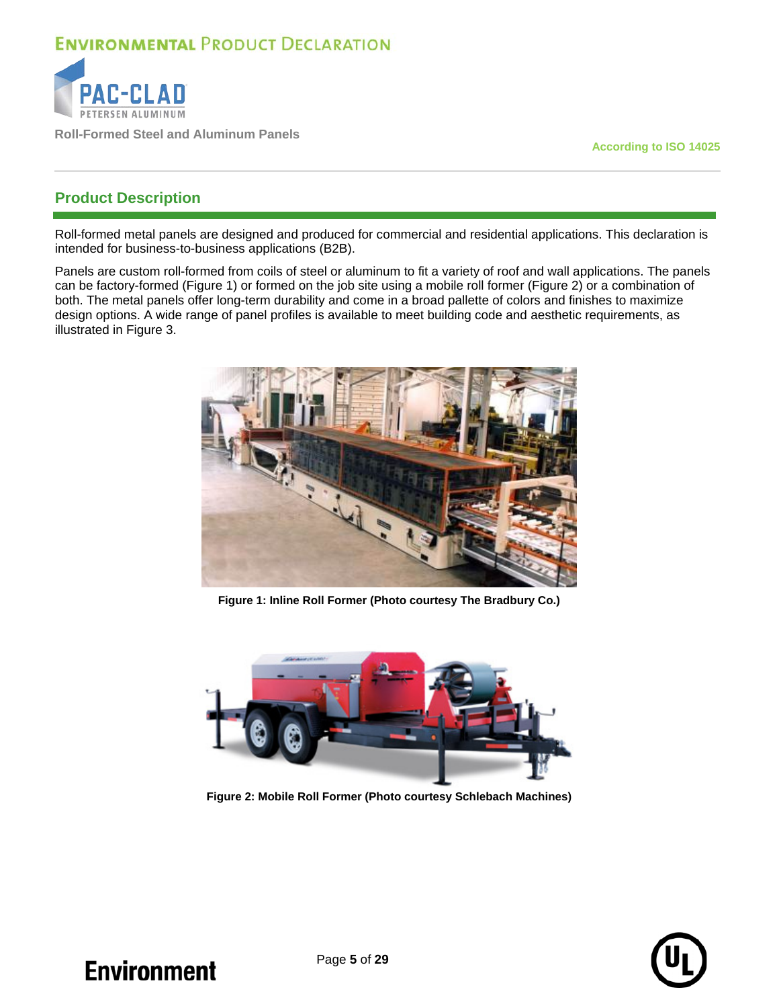

**Roll-Formed Steel and Aluminum Panels**

**According to ISO 14025**

### **Product Description**

Roll-formed metal panels are designed and produced for commercial and residential applications. This declaration is intended for business-to-business applications (B2B).

Panels are custom roll-formed from coils of steel or aluminum to fit a variety of roof and wall applications. The panels can be factory-formed (Figure 1) or formed on the job site using a mobile roll former (Figure 2) or a combination of both. The metal panels offer long-term durability and come in a broad pallette of colors and finishes to maximize design options. A wide range of panel profiles is available to meet building code and aesthetic requirements, as illustrated in [Figure 3.](#page-5-0)



**Figure 1: Inline Roll Former (Photo courtesy The Bradbury Co.)**



**Figure 2: Mobile Roll Former (Photo courtesy Schlebach Machines)**

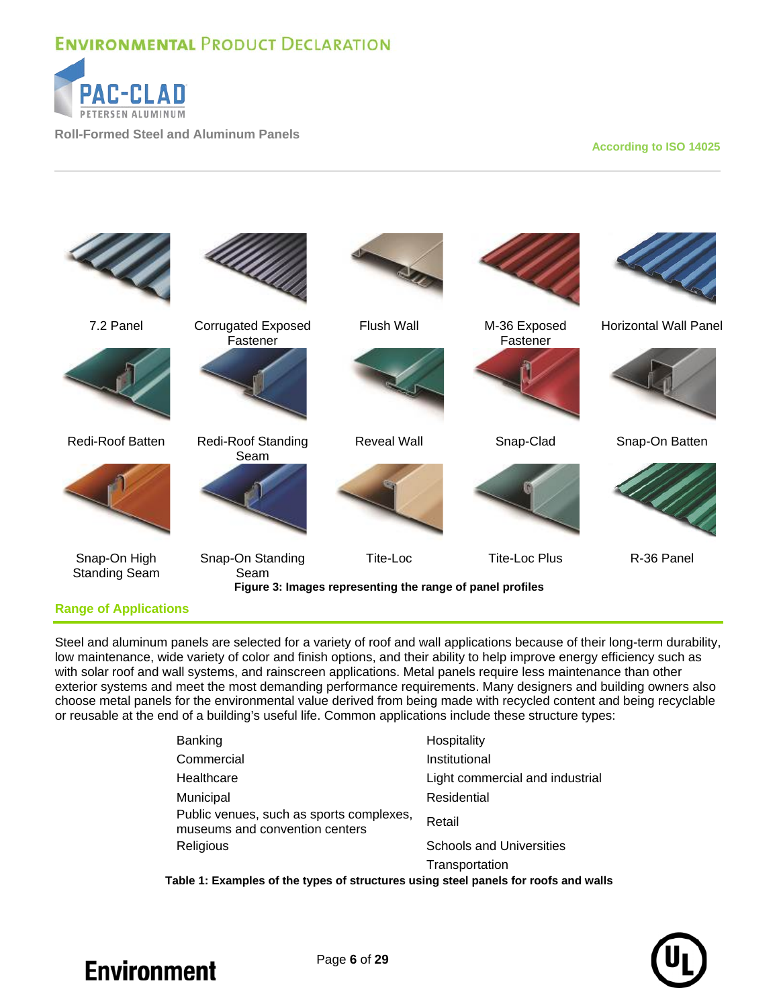

**Roll-Formed Steel and Aluminum Panels**

#### **According to ISO 14025**



#### <span id="page-5-0"></span>**Range of Applications**

Steel and aluminum panels are selected for a variety of roof and wall applications because of their long-term durability, low maintenance, wide variety of color and finish options, and their ability to help improve energy efficiency such as with solar roof and wall systems, and rainscreen applications. Metal panels require less maintenance than other exterior systems and meet the most demanding performance requirements. Many designers and building owners also choose metal panels for the environmental value derived from being made with recycled content and being recyclable or reusable at the end of a building's useful life. Common applications include these structure types:

| Banking                                                                    | Hospitality                     |
|----------------------------------------------------------------------------|---------------------------------|
| Commercial                                                                 | Institutional                   |
| Healthcare                                                                 | Light commercial and industrial |
| Municipal                                                                  | Residential                     |
| Public venues, such as sports complexes,<br>museums and convention centers | Retail                          |
| Religious                                                                  | <b>Schools and Universities</b> |
|                                                                            | Transportation                  |
|                                                                            |                                 |

**Table 1: Examples of the types of structures using steel panels for roofs and walls**

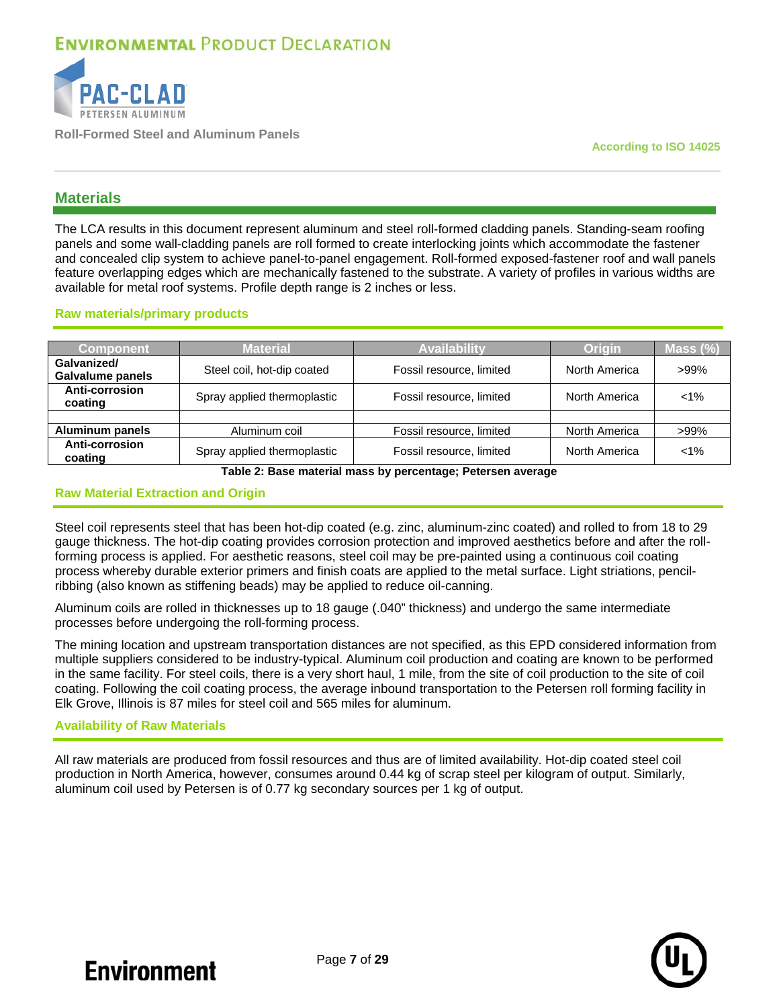

**Roll-Formed Steel and Aluminum Panels**

**According to ISO 14025**

### **Materials**

The LCA results in this document represent aluminum and steel roll-formed cladding panels. Standing-seam roofing panels and some wall-cladding panels are roll formed to create interlocking joints which accommodate the fastener and concealed clip system to achieve panel-to-panel engagement. Roll-formed exposed-fastener roof and wall panels feature overlapping edges which are mechanically fastened to the substrate. A variety of profiles in various widths are available for metal roof systems. Profile depth range is 2 inches or less.

#### **Raw materials/primary products**

| <b>Component</b>                | Material                    | Availabilitv             | Origin        | Mass (%) |
|---------------------------------|-----------------------------|--------------------------|---------------|----------|
| Galvanized/<br>Galvalume panels | Steel coil, hot-dip coated  | Fossil resource, limited | North America | $>99\%$  |
| Anti-corrosion<br>coating       | Spray applied thermoplastic | Fossil resource, limited | North America | $< 1\%$  |
|                                 |                             |                          |               |          |
| Aluminum panels                 | Aluminum coil               | Fossil resource, limited | North America | $>99\%$  |
| Anti-corrosion<br>coating       | Spray applied thermoplastic | Fossil resource, limited | North America | $< 1\%$  |

**Table 2: Base material mass by percentage; Petersen average**

#### **Raw Material Extraction and Origin**

Steel coil represents steel that has been hot-dip coated (e.g. zinc, aluminum-zinc coated) and rolled to from 18 to 29 gauge thickness. The hot-dip coating provides corrosion protection and improved aesthetics before and after the rollforming process is applied. For aesthetic reasons, steel coil may be pre-painted using a continuous coil coating process whereby durable exterior primers and finish coats are applied to the metal surface. Light striations, pencilribbing (also known as stiffening beads) may be applied to reduce oil-canning.

Aluminum coils are rolled in thicknesses up to 18 gauge (.040" thickness) and undergo the same intermediate processes before undergoing the roll-forming process.

The mining location and upstream transportation distances are not specified, as this EPD considered information from multiple suppliers considered to be industry-typical. Aluminum coil production and coating are known to be performed in the same facility. For steel coils, there is a very short haul, 1 mile, from the site of coil production to the site of coil coating. Following the coil coating process, the average inbound transportation to the Petersen roll forming facility in Elk Grove, Illinois is 87 miles for steel coil and 565 miles for aluminum.

#### **Availability of Raw Materials**

All raw materials are produced from fossil resources and thus are of limited availability. Hot-dip coated steel coil production in North America, however, consumes around 0.44 kg of scrap steel per kilogram of output. Similarly, aluminum coil used by Petersen is of 0.77 kg secondary sources per 1 kg of output.

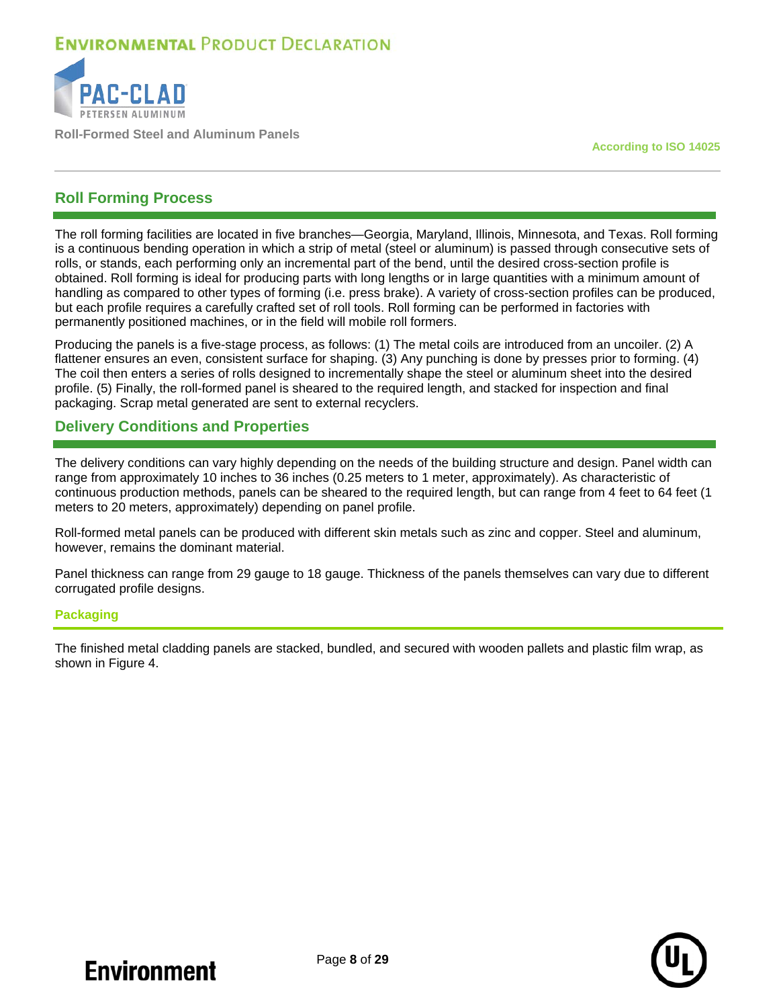

**Roll-Formed Steel and Aluminum Panels**

**According to ISO 14025**

### **Roll Forming Process**

The roll forming facilities are located in five branches—Georgia, Maryland, Illinois, Minnesota, and Texas. Roll forming is a continuous bending operation in which a strip of metal (steel or aluminum) is passed through consecutive sets of rolls, or stands, each performing only an incremental part of the bend, until the desired cross-section profile is obtained. Roll forming is ideal for producing parts with long lengths or in large quantities with a minimum amount of handling as compared to other types of forming (i.e. press brake). A variety of cross-section profiles can be produced, but each profile requires a carefully crafted set of roll tools. Roll forming can be performed in factories with permanently positioned machines, or in the field will mobile roll formers.

Producing the panels is a five-stage process, as follows: (1) The metal coils are introduced from an uncoiler. (2) A flattener ensures an even, consistent surface for shaping. (3) Any punching is done by presses prior to forming. (4) The coil then enters a series of rolls designed to incrementally shape the steel or aluminum sheet into the desired profile. (5) Finally, the roll-formed panel is sheared to the required length, and stacked for inspection and final packaging. Scrap metal generated are sent to external recyclers.

### **Delivery Conditions and Properties**

The delivery conditions can vary highly depending on the needs of the building structure and design. Panel width can range from approximately 10 inches to 36 inches (0.25 meters to 1 meter, approximately). As characteristic of continuous production methods, panels can be sheared to the required length, but can range from 4 feet to 64 feet (1 meters to 20 meters, approximately) depending on panel profile.

Roll-formed metal panels can be produced with different skin metals such as zinc and copper. Steel and aluminum, however, remains the dominant material.

Panel thickness can range from 29 gauge to 18 gauge. Thickness of the panels themselves can vary due to different corrugated profile designs.

#### **Packaging**

The finished metal cladding panels are stacked, bundled, and secured with wooden pallets and plastic film wrap, as shown in [Figure 4.](#page-8-0)

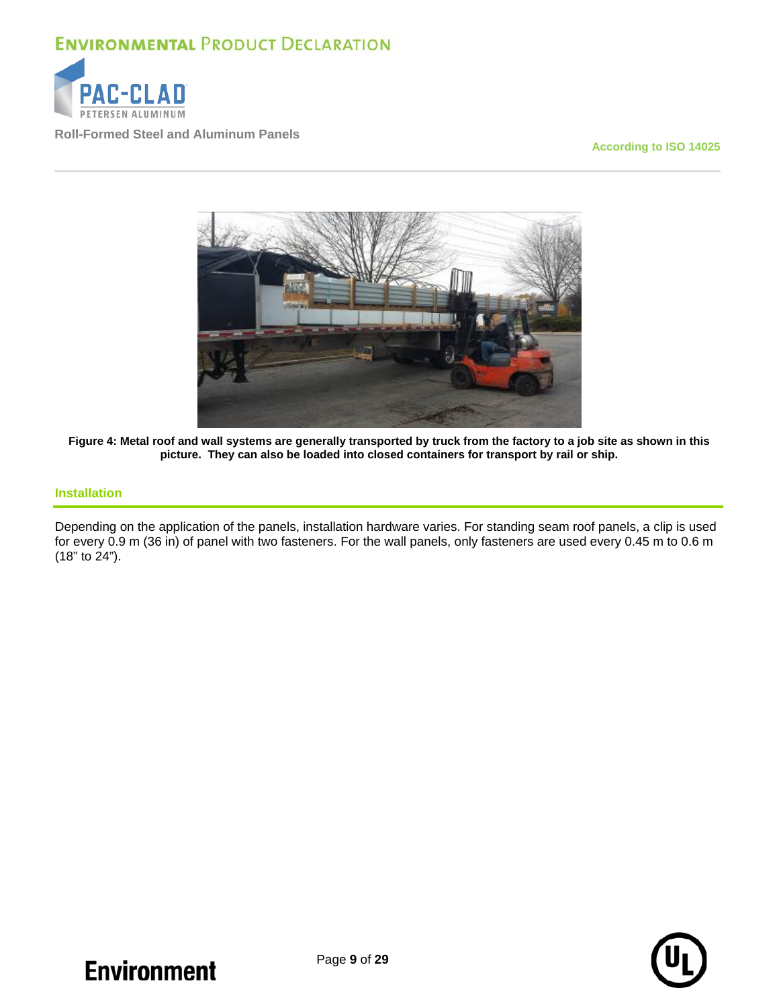

**Roll-Formed Steel and Aluminum Panels**

#### **According to ISO 14025**



<span id="page-8-0"></span>**Figure 4: Metal roof and wall systems are generally transported by truck from the factory to a job site as shown in this picture. They can also be loaded into closed containers for transport by rail or ship.**

#### **Installation**

Depending on the application of the panels, installation hardware varies. For standing seam roof panels, a clip is used for every 0.9 m (36 in) of panel with two fasteners. For the wall panels, only fasteners are used every 0.45 m to 0.6 m  $(18"$  to  $24"$ ).

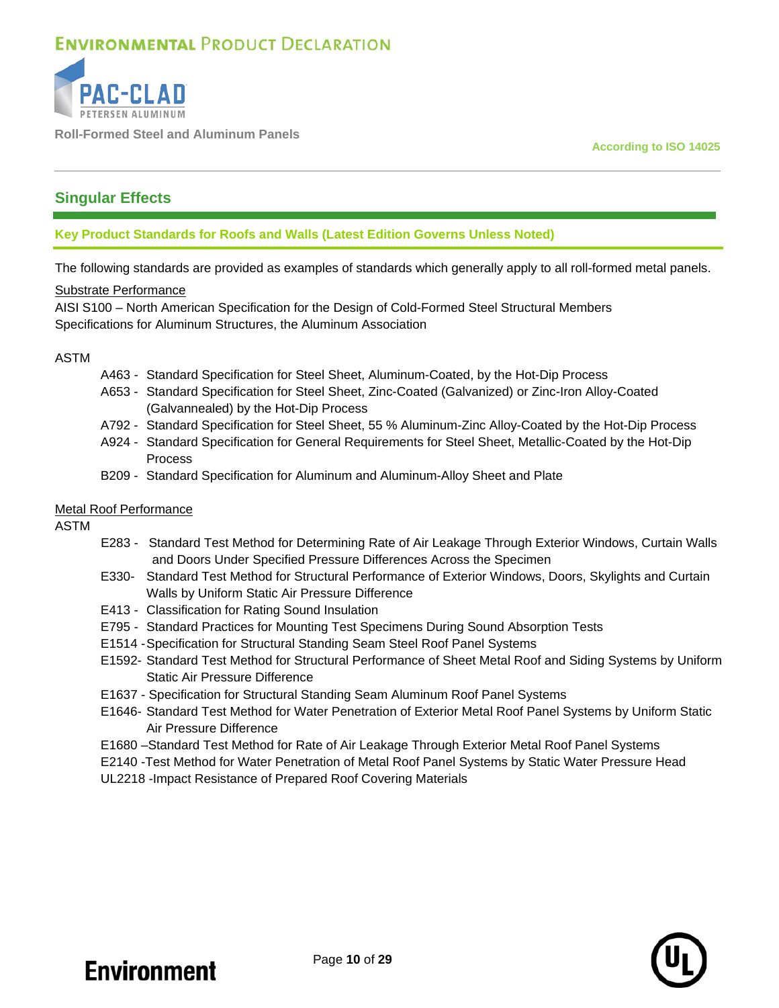

**Roll-Formed Steel and Aluminum Panels**

**According to ISO 14025**

### **Singular Effects**

### **Key Product Standards for Roofs and Walls (Latest Edition Governs Unless Noted)**

The following standards are provided as examples of standards which generally apply to all roll-formed metal panels.

#### Substrate Performance

AISI S100 – North American Specification for the Design of Cold-Formed Steel Structural Members Specifications for Aluminum Structures, the Aluminum Association

### ASTM

- A463 Standard Specification for Steel Sheet, Aluminum-Coated, by the Hot-Dip Process
- A653 Standard Specification for Steel Sheet, Zinc-Coated (Galvanized) or Zinc-Iron Alloy-Coated (Galvannealed) by the Hot-Dip Process
- A792 Standard Specification for Steel Sheet, 55 % Aluminum-Zinc Alloy-Coated by the Hot-Dip Process
- A924 Standard Specification for General Requirements for Steel Sheet, Metallic-Coated by the Hot-Dip Process
- B209 Standard Specification for Aluminum and Aluminum-Alloy Sheet and Plate

### Metal Roof Performance

ASTM

- E283 Standard Test Method for Determining Rate of Air Leakage Through Exterior Windows, Curtain Walls and Doors Under Specified Pressure Differences Across the Specimen
- E330- Standard Test Method for Structural Performance of Exterior Windows, Doors, Skylights and Curtain Walls by Uniform Static Air Pressure Difference
- E413 Classification for Rating Sound Insulation
- E795 Standard Practices for Mounting Test Specimens During Sound Absorption Tests
- E1514 -Specification for Structural Standing Seam Steel Roof Panel Systems
- E1592- Standard Test Method for Structural Performance of Sheet Metal Roof and Siding Systems by Uniform Static Air Pressure Difference
- E1637 Specification for Structural Standing Seam Aluminum Roof Panel Systems
- E1646- Standard Test Method for Water Penetration of Exterior Metal Roof Panel Systems by Uniform Static Air Pressure Difference
- E1680 –Standard Test Method for Rate of Air Leakage Through Exterior Metal Roof Panel Systems
- E2140 -Test Method for Water Penetration of Metal Roof Panel Systems by Static Water Pressure Head
- UL2218 -Impact Resistance of Prepared Roof Covering Materials

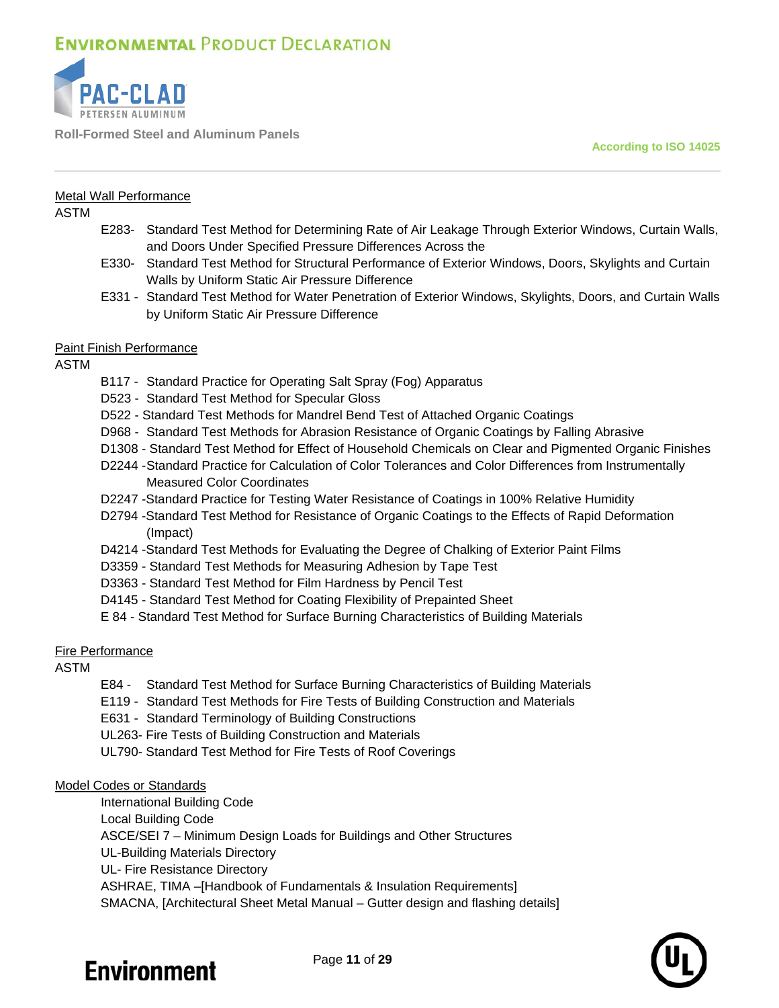

**Roll-Formed Steel and Aluminum Panels**

**According to ISO 14025**

#### Metal Wall Performance

ASTM

- E283- Standard Test Method for Determining Rate of Air Leakage Through Exterior Windows, Curtain Walls, and Doors Under Specified Pressure Differences Across the
- E330- Standard Test Method for Structural Performance of Exterior Windows, Doors, Skylights and Curtain Walls by Uniform Static Air Pressure Difference
- E331 Standard Test Method for Water Penetration of Exterior Windows, Skylights, Doors, and Curtain Walls by Uniform Static Air Pressure Difference

#### Paint Finish Performance

ASTM

- B117 Standard Practice for Operating Salt Spray (Fog) Apparatus
- D523 Standard Test Method for Specular Gloss
- D522 Standard Test Methods for Mandrel Bend Test of Attached Organic Coatings
- D968 Standard Test Methods for Abrasion Resistance of Organic Coatings by Falling Abrasive
- D1308 Standard Test Method for Effect of Household Chemicals on Clear and Pigmented Organic Finishes
- D2244 -Standard Practice for Calculation of Color Tolerances and Color Differences from Instrumentally Measured Color Coordinates
- D2247 -Standard Practice for Testing Water Resistance of Coatings in 100% Relative Humidity
- D2794 -Standard Test Method for Resistance of Organic Coatings to the Effects of Rapid Deformation (Impact)
- D4214 -Standard Test Methods for Evaluating the Degree of Chalking of Exterior Paint Films
- D3359 Standard Test Methods for Measuring Adhesion by Tape Test
- D3363 Standard Test Method for Film Hardness by Pencil Test
- D4145 Standard Test Method for Coating Flexibility of Prepainted Sheet
- E 84 Standard Test Method for Surface Burning Characteristics of Building Materials

#### Fire Performance

#### ASTM

- E84 Standard Test Method for Surface Burning Characteristics of Building Materials
- E119 Standard Test Methods for Fire Tests of Building Construction and Materials
- E631 Standard Terminology of Building Constructions
- UL263- Fire Tests of Building Construction and Materials
- UL790- Standard Test Method for Fire Tests of Roof Coverings

#### Model Codes or Standards

International Building Code Local Building Code ASCE/SEI 7 – Minimum Design Loads for Buildings and Other Structures UL-Building Materials Directory UL- Fire Resistance Directory ASHRAE, TIMA –[Handbook of Fundamentals & Insulation Requirements]

SMACNA, [Architectural Sheet Metal Manual – Gutter design and flashing details]

# **Environment**

Page **11** of **29**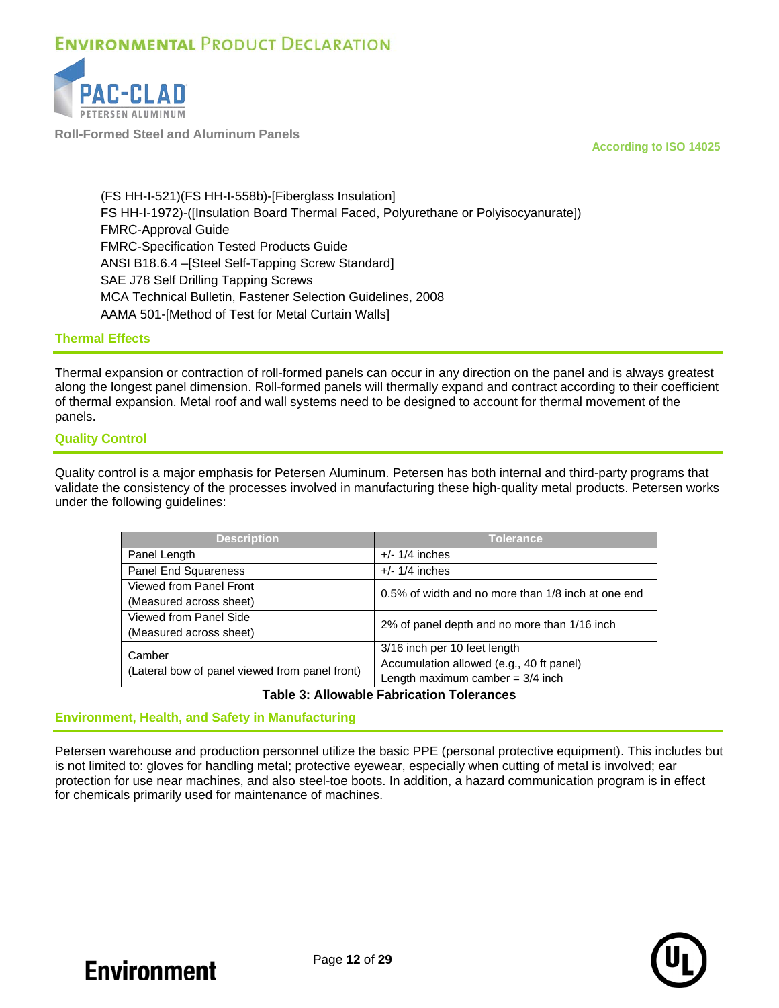

**Roll-Formed Steel and Aluminum Panels**

**According to ISO 14025**

(FS HH-I-521)(FS HH-I-558b)-[Fiberglass Insulation] FS HH-I-1972)-([Insulation Board Thermal Faced, Polyurethane or Polyisocyanurate]) FMRC-Approval Guide FMRC-Specification Tested Products Guide ANSI B18.6.4 –[Steel Self-Tapping Screw Standard] SAE J78 Self Drilling Tapping Screws MCA Technical Bulletin, Fastener Selection Guidelines, 2008 AAMA 501-[Method of Test for Metal Curtain Walls]

#### **Thermal Effects**

Thermal expansion or contraction of roll-formed panels can occur in any direction on the panel and is always greatest along the longest panel dimension. Roll-formed panels will thermally expand and contract according to their coefficient of thermal expansion. Metal roof and wall systems need to be designed to account for thermal movement of the panels.

#### **Quality Control**

Quality control is a major emphasis for Petersen Aluminum. Petersen has both internal and third-party programs that validate the consistency of the processes involved in manufacturing these high-quality metal products. Petersen works under the following guidelines:

| <b>Description</b>                             | Tolerance                                          |  |  |  |  |
|------------------------------------------------|----------------------------------------------------|--|--|--|--|
| Panel Length                                   | $+/- 1/4$ inches                                   |  |  |  |  |
| Panel End Squareness                           | $+/- 1/4$ inches                                   |  |  |  |  |
| Viewed from Panel Front                        | 0.5% of width and no more than 1/8 inch at one end |  |  |  |  |
| (Measured across sheet)                        |                                                    |  |  |  |  |
| Viewed from Panel Side                         | 2% of panel depth and no more than 1/16 inch       |  |  |  |  |
| (Measured across sheet)                        |                                                    |  |  |  |  |
| Camber                                         | 3/16 inch per 10 feet length                       |  |  |  |  |
| (Lateral bow of panel viewed from panel front) | Accumulation allowed (e.g., 40 ft panel)           |  |  |  |  |
|                                                | Length maximum camber = $3/4$ inch                 |  |  |  |  |

#### **Table 3: Allowable Fabrication Tolerances**

#### **Environment, Health, and Safety in Manufacturing**

Petersen warehouse and production personnel utilize the basic PPE (personal protective equipment). This includes but is not limited to: gloves for handling metal; protective eyewear, especially when cutting of metal is involved; ear protection for use near machines, and also steel-toe boots. In addition, a hazard communication program is in effect for chemicals primarily used for maintenance of machines.

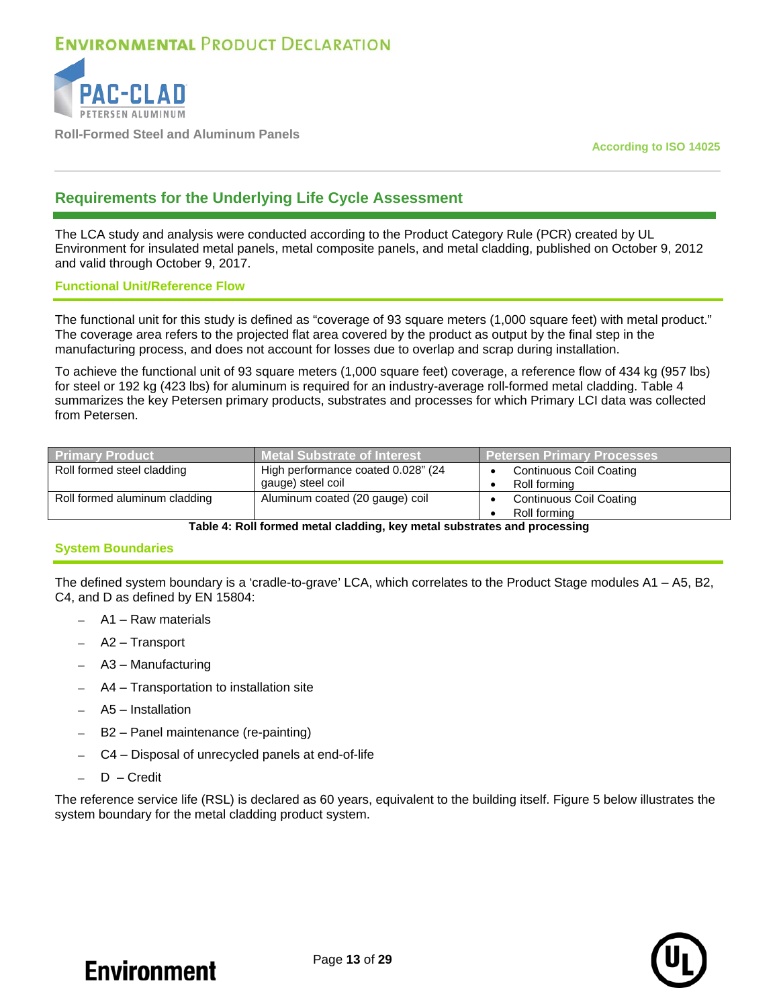

**Roll-Formed Steel and Aluminum Panels**

**According to ISO 14025**

### **Requirements for the Underlying Life Cycle Assessment**

The LCA study and analysis were conducted according to the Product Category Rule (PCR) created by UL Environment for insulated metal panels, metal composite panels, and metal cladding, published on October 9, 2012 and valid through October 9, 2017.

#### **Functional Unit/Reference Flow**

The functional unit for this study is defined as "coverage of 93 square meters (1,000 square feet) with metal product." The coverage area refers to the projected flat area covered by the product as output by the final step in the manufacturing process, and does not account for losses due to overlap and scrap during installation.

To achieve the functional unit of 93 square meters (1,000 square feet) coverage, a reference flow of 434 kg (957 lbs) for steel or 192 kg (423 lbs) for aluminum is required for an industry-average roll-formed metal cladding. [Table 4](#page-12-0) summarizes the key Petersen primary products, substrates and processes for which Primary LCI data was collected from Petersen.

| <b>Primary Product</b>        | <b>Metal Substrate of Interest</b>                      | <u>l Peters</u> en Primary Processes           |
|-------------------------------|---------------------------------------------------------|------------------------------------------------|
| Roll formed steel cladding    | High performance coated 0.028" (24<br>gauge) steel coil | <b>Continuous Coil Coating</b><br>Roll forming |
| Roll formed aluminum cladding | Aluminum coated (20 gauge) coil                         | <b>Continuous Coil Coating</b><br>Roll forming |

**Table 4: Roll formed metal cladding, key metal substrates and processing**

### <span id="page-12-0"></span>**System Boundaries**

The defined system boundary is a 'cradle-to-grave' LCA, which correlates to the Product Stage modules A1 – A5, B2, C4, and D as defined by EN 15804:

- A1 Raw materials
- − A2 Transport
- − A3 Manufacturing
- − A4 Transportation to installation site
- − A5 Installation
- − B2 Panel maintenance (re-painting)
- − C4 Disposal of unrecycled panels at end-of-life
- D Credit

The reference service life (RSL) is declared as 60 years, equivalent to the building itself. [Figure 5](#page-13-0) below illustrates the system boundary for the metal cladding product system.

**Environment**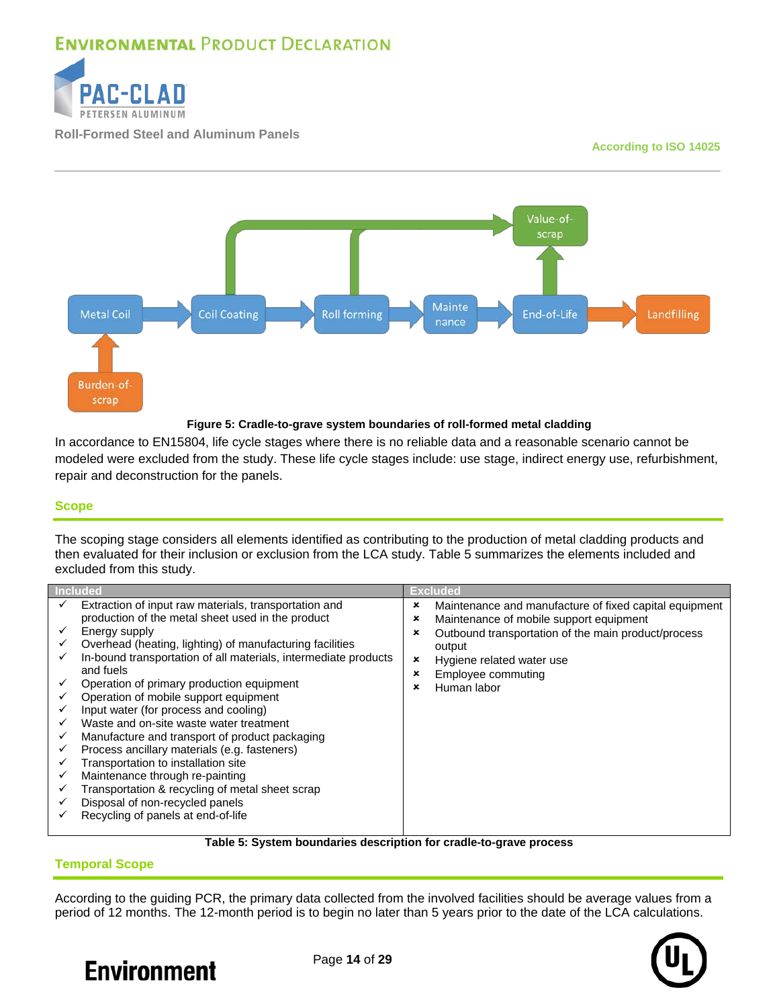

**Roll-Formed Steel and Aluminum Panels**

#### **According to ISO 14025**



#### **Figure 5: Cradle-to-grave system boundaries of roll-formed metal cladding**

<span id="page-13-0"></span>In accordance to EN15804, life cycle stages where there is no reliable data and a reasonable scenario cannot be modeled were excluded from the study. These life cycle stages include: use stage, indirect energy use, refurbishment, repair and deconstruction for the panels.

#### **Scope**

The scoping stage considers all elements identified as contributing to the production of metal cladding products and then evaluated for their inclusion or exclusion from the LCA study. [Table 5](#page-13-1) summarizes the elements included and excluded from this study.

|        | <b>Included</b>                                                                                                                                                                                                                                                                                                                                               |                            | Excluded                                                                                                                                                                                                                             |
|--------|---------------------------------------------------------------------------------------------------------------------------------------------------------------------------------------------------------------------------------------------------------------------------------------------------------------------------------------------------------------|----------------------------|--------------------------------------------------------------------------------------------------------------------------------------------------------------------------------------------------------------------------------------|
| ✓<br>✓ | Extraction of input raw materials, transportation and<br>production of the metal sheet used in the product<br>Energy supply<br>Overhead (heating, lighting) of manufacturing facilities<br>In-bound transportation of all materials, intermediate products<br>and fuels<br>Operation of primary production equipment<br>Operation of mobile support equipment | ×<br>×<br>×<br>×<br>×<br>× | Maintenance and manufacture of fixed capital equipment<br>Maintenance of mobile support equipment<br>Outbound transportation of the main product/process<br>output<br>Hygiene related water use<br>Employee commuting<br>Human labor |
|        | Input water (for process and cooling)<br>Waste and on-site waste water treatment<br>Manufacture and transport of product packaging<br>Process ancillary materials (e.g. fasteners)<br>Transportation to installation site<br>Maintenance through re-painting<br>Transportation & recycling of metal sheet scrap<br>Disposal of non-recycled panels            |                            |                                                                                                                                                                                                                                      |
|        | Recycling of panels at end-of-life                                                                                                                                                                                                                                                                                                                            |                            |                                                                                                                                                                                                                                      |

#### **Table 5: System boundaries description for cradle-to-grave process**

#### <span id="page-13-1"></span>**Temporal Scope**

According to the guiding PCR, the primary data collected from the involved facilities should be average values from a period of 12 months. The 12-month period is to begin no later than 5 years prior to the date of the LCA calculations.





Page **14** of **29**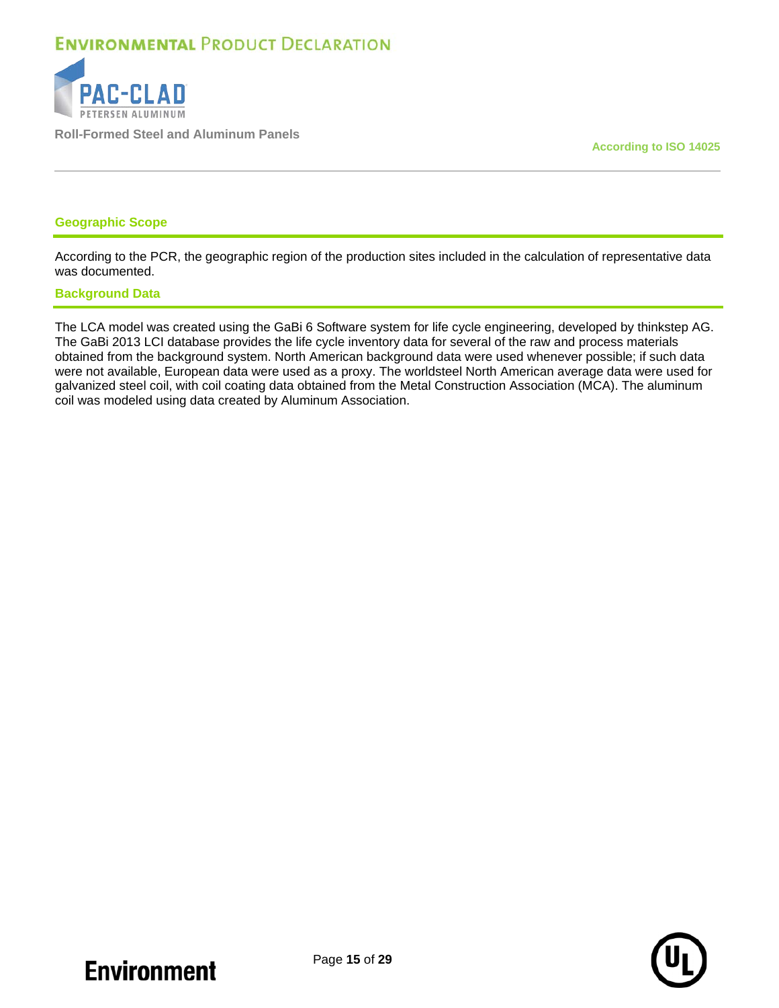

**Roll-Formed Steel and Aluminum Panels**

**According to ISO 14025**

#### **Geographic Scope**

According to the PCR, the geographic region of the production sites included in the calculation of representative data was documented.

#### **Background Data**

The LCA model was created using the GaBi 6 Software system for life cycle engineering, developed by thinkstep AG. The GaBi 2013 LCI database provides the life cycle inventory data for several of the raw and process materials obtained from the background system. North American background data were used whenever possible; if such data were not available, European data were used as a proxy. The worldsteel North American average data were used for galvanized steel coil, with coil coating data obtained from the Metal Construction Association (MCA). The aluminum coil was modeled using data created by Aluminum Association.

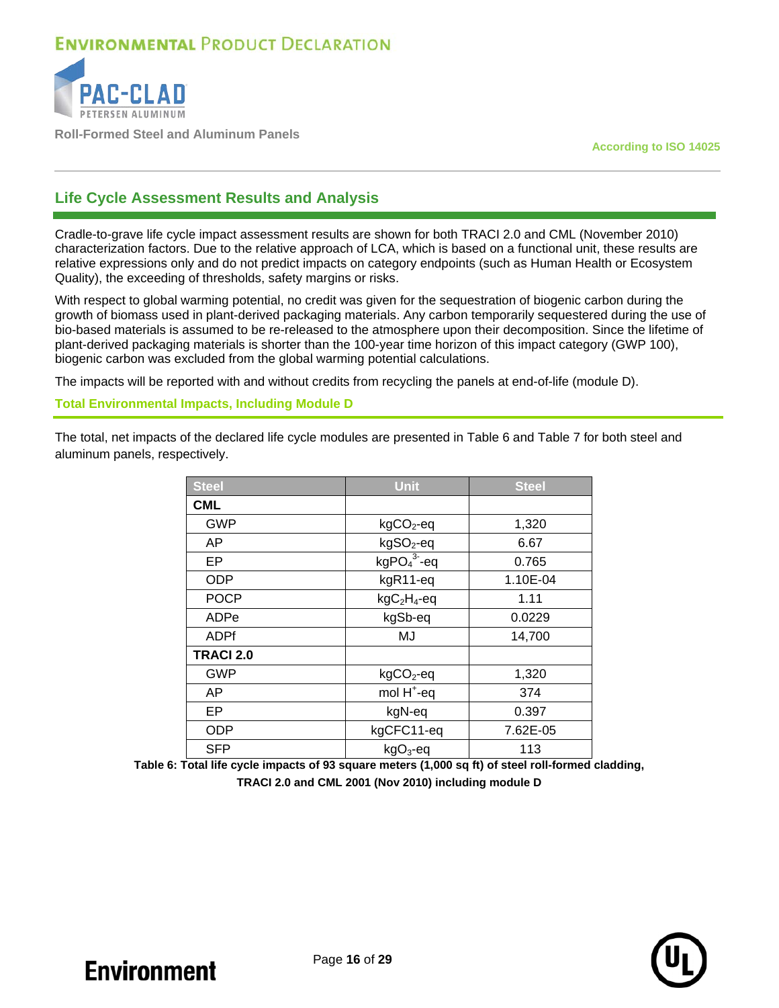

**Roll-Formed Steel and Aluminum Panels**

**According to ISO 14025**

### **Life Cycle Assessment Results and Analysis**

Cradle-to-grave life cycle impact assessment results are shown for both TRACI 2.0 and CML (November 2010) characterization factors. Due to the relative approach of LCA, which is based on a functional unit, these results are relative expressions only and do not predict impacts on category endpoints (such as Human Health or Ecosystem Quality), the exceeding of thresholds, safety margins or risks.

With respect to global warming potential, no credit was given for the sequestration of biogenic carbon during the growth of biomass used in plant-derived packaging materials. Any carbon temporarily sequestered during the use of bio-based materials is assumed to be re-released to the atmosphere upon their decomposition. Since the lifetime of plant-derived packaging materials is shorter than the 100-year time horizon of this impact category (GWP 100), biogenic carbon was excluded from the global warming potential calculations.

The impacts will be reported with and without credits from recycling the panels at end-of-life (module D).

#### **Total Environmental Impacts, Including Module D**

The total, net impacts of the declared life cycle modules are presented in [Table 6](#page-15-0) and [Table 7](#page-16-0) for both steel and aluminum panels, respectively.

| <b>Steel</b>     | <b>Unit</b>            | <b>Steel</b> |
|------------------|------------------------|--------------|
| <b>CML</b>       |                        |              |
| <b>GWP</b>       | $kgCO2$ -eq            | 1,320        |
| AP               | kgSO <sub>2</sub> -eq  | 6.67         |
| EP               | $kgPO43-eq$            | 0.765        |
| <b>ODP</b>       | kgR11-eq               | 1.10E-04     |
| <b>POCP</b>      | $kgC2H4-eq$            | 1.11         |
| ADPe             | kgSb-eq                | 0.0229       |
| <b>ADPf</b>      | MJ                     | 14,700       |
| <b>TRACI 2.0</b> |                        |              |
| <b>GWP</b>       | $kgCO2$ -eq            | 1,320        |
| AP               | mol H <sup>+</sup> -eq | 374          |
| EP               | kgN-eq                 | 0.397        |
| <b>ODP</b>       | kgCFC11-eq             | 7.62E-05     |
| <b>SFP</b>       | $kgO3$ -eq             | 113          |

<span id="page-15-0"></span>**Table 6: Total life cycle impacts of 93 square meters (1,000 sq ft) of steel roll-formed cladding, TRACI 2.0 and CML 2001 (Nov 2010) including module D**

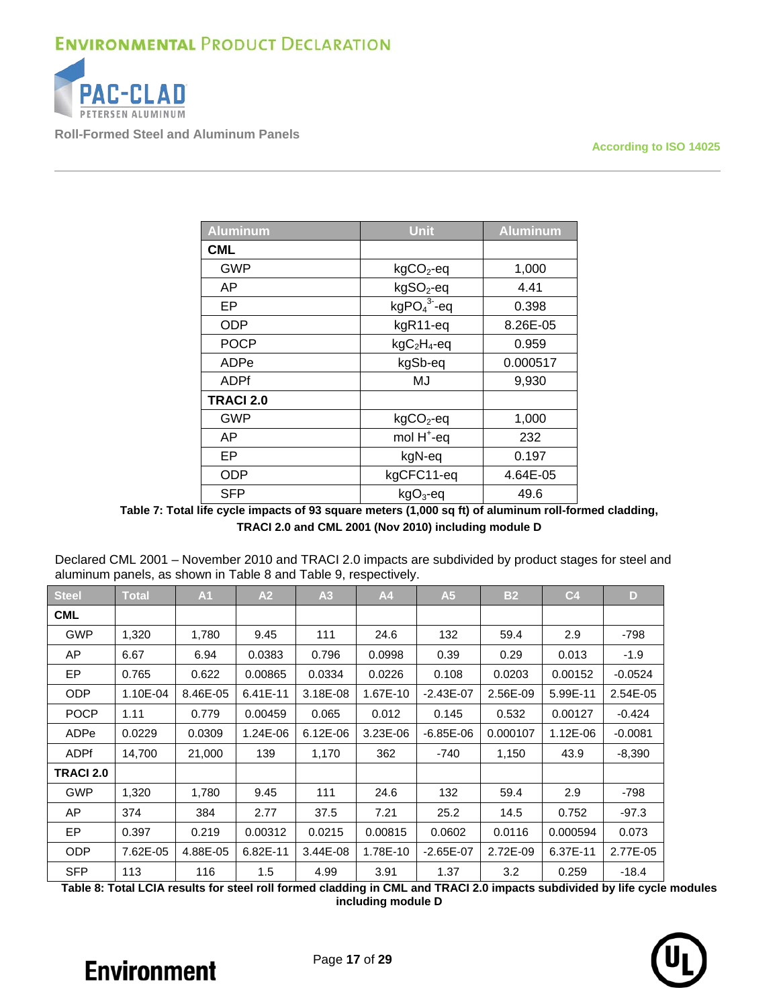

**Roll-Formed Steel and Aluminum Panels**

**According to ISO 14025**

| <b>Aluminum</b>  | <b>Unit</b>            | <b>Aluminum</b> |
|------------------|------------------------|-----------------|
| <b>CML</b>       |                        |                 |
| GWP              | $kgCO2$ -eq            | 1,000           |
| AP               | kgSO <sub>2</sub> -eq  | 4.41            |
| EP               | $kgPO43-eq$            | 0.398           |
| <b>ODP</b>       | kgR11-eq               | 8.26E-05        |
| <b>POCP</b>      | $kgC2H4-eq$            | 0.959           |
| ADPe             | kgSb-eq                | 0.000517        |
| ADPf             | MJ                     | 9,930           |
| <b>TRACI 2.0</b> |                        |                 |
| GWP              | $kgCO2$ -eq            | 1,000           |
| AP               | mol H <sup>+</sup> -eq | 232             |
| EP               | kgN-eq                 | 0.197           |
| <b>ODP</b>       | kgCFC11-eq             | 4.64E-05        |
| <b>SFP</b>       | $kgO3$ -eq             | 49.6            |

**Table 7: Total life cycle impacts of 93 square meters (1,000 sq ft) of aluminum roll-formed cladding, TRACI 2.0 and CML 2001 (Nov 2010) including module D**

<span id="page-16-0"></span>

| Declared CML 2001 - November 2010 and TRACI 2.0 impacts are subdivided by product stages for steel and |
|--------------------------------------------------------------------------------------------------------|
| aluminum panels, as shown in Table 8 and Table 9, respectively.                                        |

| <b>Steel</b>     | <b>Total</b> | A1       | A2       | A <sub>3</sub>                        | A4       | A <sub>5</sub> | <b>B2</b> | C <sub>4</sub> | D         |
|------------------|--------------|----------|----------|---------------------------------------|----------|----------------|-----------|----------------|-----------|
| <b>CML</b>       |              |          |          |                                       |          |                |           |                |           |
| <b>GWP</b>       | 1,320        | 1,780    | 9.45     | 111                                   | 24.6     | 132            | 59.4      | 2.9            | -798      |
| AP.              | 6.67         | 6.94     | 0.0383   | 0.796                                 | 0.0998   | 0.39           | 0.29      | 0.013          | $-1.9$    |
| EP               | 0.765        | 0.622    | 0.00865  | 0.0334                                | 0.0226   | 0.108          | 0.0203    | 0.00152        | $-0.0524$ |
| <b>ODP</b>       | 1.10E-04     | 8.46E-05 | 6.41E-11 | 3.18E-08<br>1.67E-10<br>$-2.43E - 07$ |          | 2.56E-09       | 5.99E-11  | 2.54E-05       |           |
| <b>POCP</b>      | 1.11         | 0.779    | 0.00459  | 0.065                                 | 0.012    | 0.145<br>0.532 |           | 0.00127        | $-0.424$  |
| ADPe             | 0.0229       | 0.0309   | 1.24E-06 | 6.12E-06                              | 3.23E-06 | $-6.85E-06$    | 0.000107  | 1.12E-06       | $-0.0081$ |
| <b>ADPf</b>      | 14,700       | 21,000   | 139      | 1,170                                 | 362      | -740           | 1,150     | 43.9           | $-8,390$  |
| <b>TRACI 2.0</b> |              |          |          |                                       |          |                |           |                |           |
| <b>GWP</b>       | 1,320        | 1,780    | 9.45     | 111                                   | 24.6     | 132            | 59.4      | 2.9            | -798      |
| AP               | 374          | 384      | 2.77     | 37.5                                  | 7.21     | 25.2           | 14.5      | 0.752          | $-97.3$   |
| EP.              | 0.397        | 0.219    | 0.00312  | 0.0215                                | 0.00815  | 0.0602         | 0.0116    | 0.000594       | 0.073     |
| <b>ODP</b>       | 7.62E-05     | 4.88E-05 | 6.82E-11 | 3.44E-08                              | 1.78E-10 | $-2.65E-07$    | 2.72E-09  | 6.37E-11       | 2.77E-05  |
| <b>SFP</b>       | 113          | 116      | 1.5      | 4.99                                  | 3.91     | 1.37           | 3.2       | 0.259          | $-18.4$   |

<span id="page-16-1"></span>**Table 8: Total LCIA results for steel roll formed cladding in CML and TRACI 2.0 impacts subdivided by life cycle modules including module D**

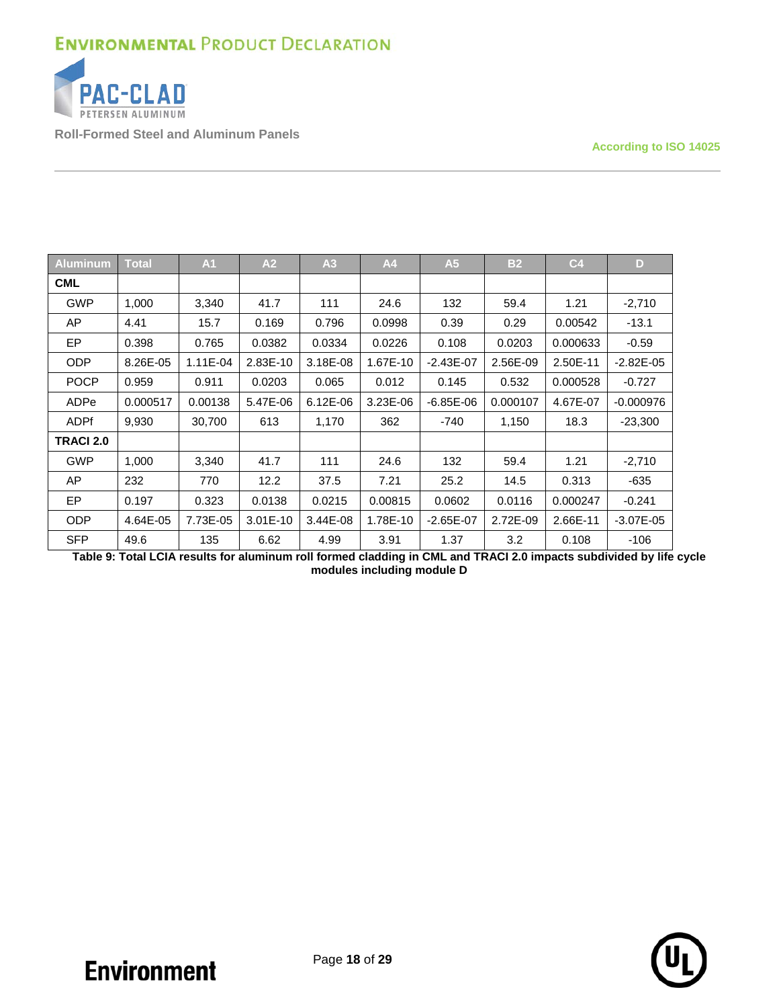

**Roll-Formed Steel and Aluminum Panels**

**According to ISO 14025**

| <b>Aluminum</b>  | <b>Total</b> | A <sub>1</sub> | A2         | A <sub>3</sub> | A4       | A <sub>5</sub> | <b>B2</b> | C <sub>4</sub> | D             |
|------------------|--------------|----------------|------------|----------------|----------|----------------|-----------|----------------|---------------|
| <b>CML</b>       |              |                |            |                |          |                |           |                |               |
| <b>GWP</b>       | 1,000        | 3,340          | 41.7       | 111            | 24.6     | 132            | 59.4      | 1.21           | $-2,710$      |
| AP               | 4.41         | 15.7           | 0.169      | 0.796          | 0.0998   | 0.39           | 0.29      | 0.00542        | $-13.1$       |
| <b>EP</b>        | 0.398        | 0.765          | 0.0382     | 0.0334         | 0.0226   | 0.108          | 0.0203    | 0.000633       | $-0.59$       |
| <b>ODP</b>       | 8.26E-05     | 1.11E-04       | 2.83E-10   | 3.18E-08       | 1.67E-10 | $-2.43E - 07$  | 2.56E-09  | 2.50E-11       | $-2.82E - 05$ |
| <b>POCP</b>      | 0.959        | 0.911          | 0.0203     | 0.065          | 0.012    | 0.145          | 0.532     | 0.000528       | $-0.727$      |
| ADPe             | 0.000517     | 0.00138        | 5.47E-06   | $6.12E-06$     | 3.23E-06 | $-6.85E-06$    | 0.000107  | 4.67E-07       | $-0.000976$   |
| <b>ADPf</b>      | 9,930        | 30,700         | 613        | 1,170          | 362      | $-740$         | 1,150     | 18.3           | $-23,300$     |
| <b>TRACI 2.0</b> |              |                |            |                |          |                |           |                |               |
| <b>GWP</b>       | 1,000        | 3,340          | 41.7       | 111            | 24.6     | 132            | 59.4      | 1.21           | $-2,710$      |
| AP               | 232          | 770            | 12.2       | 37.5           | 7.21     | 25.2           | 14.5      | 0.313          | $-635$        |
| <b>EP</b>        | 0.197        | 0.323          | 0.0138     | 0.0215         | 0.00815  | 0.0602         | 0.0116    | 0.000247       | $-0.241$      |
| ODP              | 4.64E-05     | 7.73E-05       | $3.01E-10$ | 3.44E-08       | 1.78E-10 | $-2.65E-07$    | 2.72E-09  | 2.66E-11       | $-3.07E - 05$ |
| <b>SFP</b>       | 49.6         | 135            | 6.62       | 4.99           | 3.91     | 1.37           | 3.2       | 0.108          | -106          |

<span id="page-17-0"></span>**Table 9: Total LCIA results for aluminum roll formed cladding in CML and TRACI 2.0 impacts subdivided by life cycle modules including module D**

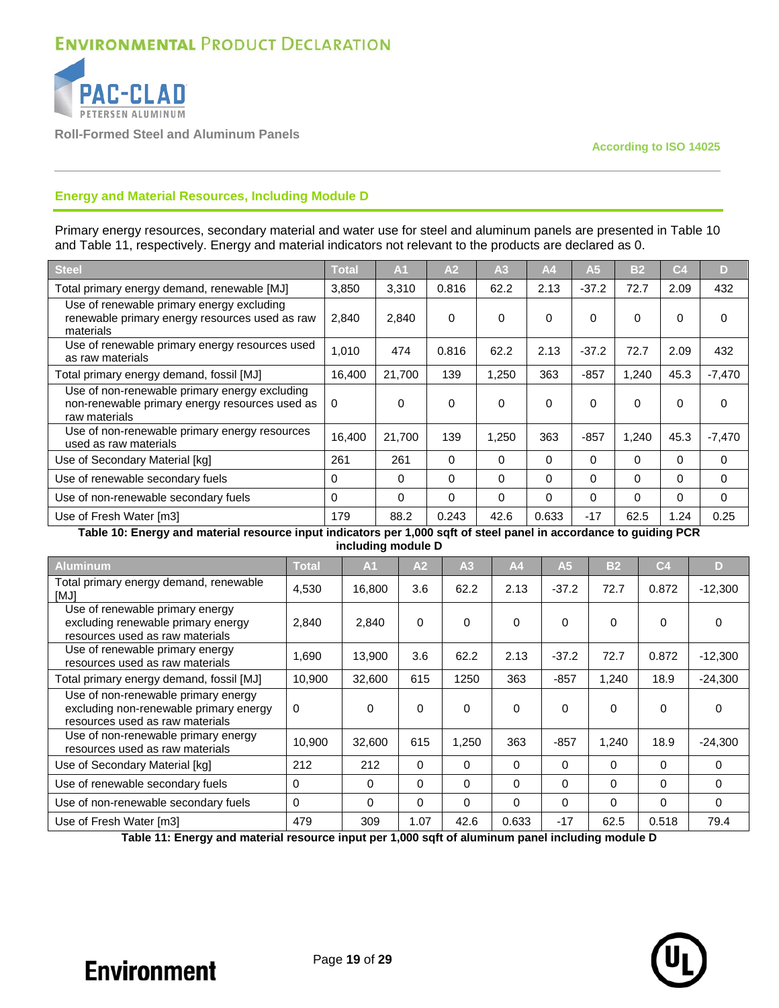

**Roll-Formed Steel and Aluminum Panels**

### **Energy and Material Resources, Including Module D**

Primary energy resources, secondary material and water use for steel and aluminum panels are presented in [Table 10](#page-18-0) and [Table 11,](#page-18-1) respectively. Energy and material indicators not relevant to the products are declared as 0.

| Steel                                                                                                            | <b>Total</b> | A <sub>1</sub> | A <sub>2</sub> | A <sub>3</sub> | A <sub>4</sub> | A <sub>5</sub> | B <sub>2</sub> | C <sub>4</sub> | D        |
|------------------------------------------------------------------------------------------------------------------|--------------|----------------|----------------|----------------|----------------|----------------|----------------|----------------|----------|
| Total primary energy demand, renewable [MJ]                                                                      | 3,850        | 3,310          | 0.816          | 62.2           | 2.13           | $-37.2$        | 72.7           | 2.09           | 432      |
| Use of renewable primary energy excluding<br>renewable primary energy resources used as raw<br>materials         | 2.840        | 2.840          | $\Omega$       | $\Omega$       | $\Omega$       | $\Omega$       | $\Omega$       | 0              | 0        |
| Use of renewable primary energy resources used<br>as raw materials                                               | 1,010        | 474            | 0.816          | 62.2           | 2.13           | $-37.2$        | 72.7           | 2.09           | 432      |
| Total primary energy demand, fossil [MJ]                                                                         | 16.400       | 21,700         | 139            | 1,250          | 363            | $-857$         | 1,240          | 45.3           | $-7,470$ |
| Use of non-renewable primary energy excluding<br>non-renewable primary energy resources used as<br>raw materials | $\Omega$     | 0              | $\Omega$       | 0              | $\Omega$       | 0              | $\Omega$       | 0              | 0        |
| Use of non-renewable primary energy resources<br>used as raw materials                                           | 16.400       | 21.700         | 139            | 1.250          | 363            | $-857$         | 1.240          | 45.3           | $-7.470$ |
| Use of Secondary Material [kg]                                                                                   | 261          | 261            | $\Omega$       | $\Omega$       | $\Omega$       | $\Omega$       | $\Omega$       | $\Omega$       | 0        |
| Use of renewable secondary fuels                                                                                 | $\Omega$     | 0              | $\Omega$       | $\Omega$       | 0              | 0              | 0              | 0              | 0        |
| Use of non-renewable secondary fuels                                                                             | $\Omega$     | 0              | $\Omega$       | $\Omega$       | $\Omega$       | $\Omega$       | $\Omega$       | 0              | 0        |
| Use of Fresh Water [m3]                                                                                          | 179          | 88.2           | 0.243          | 42.6           | 0.633          | $-17$          | 62.5           | 1.24           | 0.25     |

<span id="page-18-0"></span>**Table 10: Energy and material resource input indicators per 1,000 sqft of steel panel in accordance to guiding PCR including module D**

| <b>Aluminum</b>                                                                                                  | <b>Total</b> | A <sub>1</sub> | A <sub>2</sub> | A <sub>3</sub> | A <sub>4</sub> | A <sub>5</sub> | B <sub>2</sub> | C <sub>4</sub> | D)        |
|------------------------------------------------------------------------------------------------------------------|--------------|----------------|----------------|----------------|----------------|----------------|----------------|----------------|-----------|
| Total primary energy demand, renewable<br>[MJ]                                                                   | 4,530        | 16,800         | 3.6            | 62.2           | 2.13           | $-37.2$        | 72.7           | 0.872          | $-12,300$ |
| Use of renewable primary energy<br>excluding renewable primary energy<br>resources used as raw materials         | 2,840        | 2.840          | $\Omega$       | 0              | $\Omega$       | $\Omega$       | $\Omega$       | $\Omega$       | $\Omega$  |
| Use of renewable primary energy<br>resources used as raw materials                                               | 1,690        | 13,900         | 3.6            | 62.2           | 2.13           | $-37.2$        | 72.7           | 0.872          | $-12,300$ |
| Total primary energy demand, fossil [MJ]                                                                         | 10,900       | 32,600         | 615            | 1250           | 363            | $-857$         | 1,240          | 18.9           | $-24,300$ |
| Use of non-renewable primary energy<br>excluding non-renewable primary energy<br>resources used as raw materials | 0            | $\Omega$       | 0              | $\Omega$       | $\Omega$       | $\Omega$       | 0              | $\Omega$       | $\Omega$  |
| Use of non-renewable primary energy<br>resources used as raw materials                                           | 10,900       | 32,600         | 615            | 1,250          | 363            | $-857$         | 1,240          | 18.9           | $-24,300$ |
| Use of Secondary Material [kg]                                                                                   | 212          | 212            | $\Omega$       | $\Omega$       | $\Omega$       | $\Omega$       | 0              | $\Omega$       | $\Omega$  |
| Use of renewable secondary fuels                                                                                 | $\Omega$     | 0              | $\Omega$       | $\Omega$       | $\Omega$       | $\Omega$       | $\Omega$       | $\Omega$       | $\Omega$  |
| Use of non-renewable secondary fuels                                                                             | $\Omega$     | $\Omega$       | 0              | 0              | 0              | $\Omega$       | 0              | $\Omega$       | $\Omega$  |
| Use of Fresh Water [m3]                                                                                          | 479          | 309            | 1.07           | 42.6           | 0.633          | $-17$          | 62.5           | 0.518          | 79.4      |

<span id="page-18-1"></span>**Table 11: Energy and material resource input per 1,000 sqft of aluminum panel including module D**

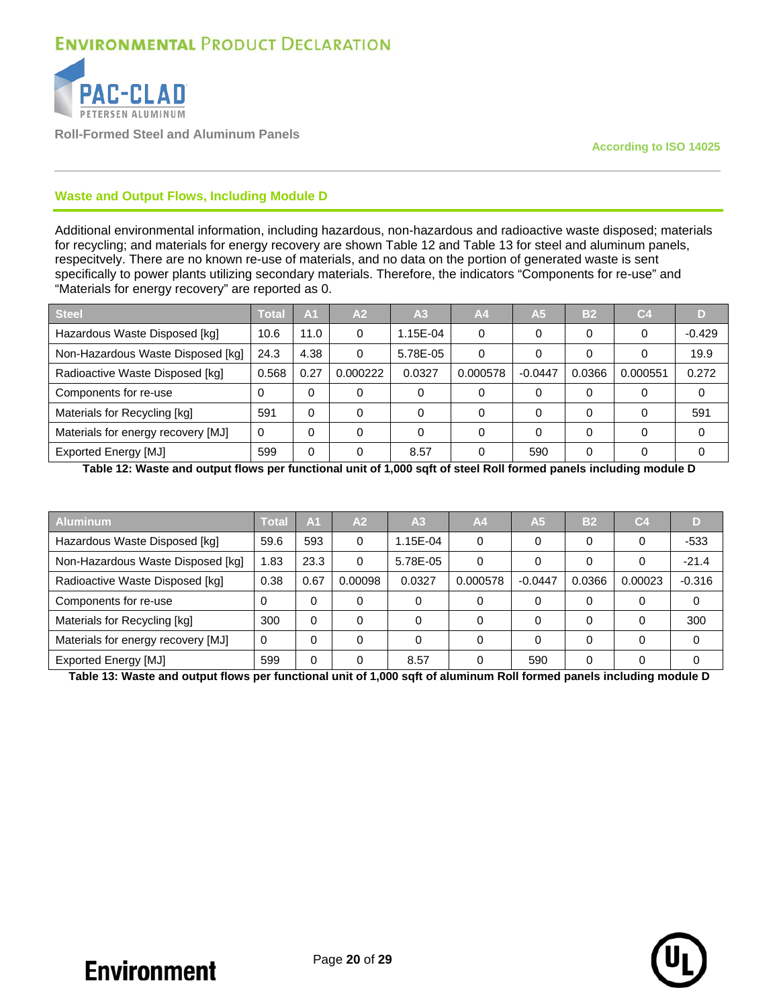

**Roll-Formed Steel and Aluminum Panels**

### **Waste and Output Flows, Including Module D**

Additional environmental information, including hazardous, non-hazardous and radioactive waste disposed; materials for recycling; and materials for energy recovery are shown [Table 12](#page-19-0) and [Table 13](#page-19-1) for steel and aluminum panels, respecitvely. There are no known re-use of materials, and no data on the portion of generated waste is sent specifically to power plants utilizing secondary materials. Therefore, the indicators "Components for re-use" and "Materials for energy recovery" are reported as 0.

| <b>Steel</b>                       | Total | A <sub>1</sub> | A2       | A <sub>3</sub> | A <sub>4</sub> | A <sub>5</sub> | B <sub>2</sub> | C <sub>4</sub> |          |
|------------------------------------|-------|----------------|----------|----------------|----------------|----------------|----------------|----------------|----------|
| Hazardous Waste Disposed [kg]      | 10.6  | 11.0           | 0        | 1.15E-04       | 0              | 0              | 0              | 0              | $-0.429$ |
| Non-Hazardous Waste Disposed [kg]  | 24.3  | 4.38           | 0        | 5.78E-05       | 0              | 0              | 0              |                | 19.9     |
| Radioactive Waste Disposed [kg]    | 0.568 | 0.27           | 0.000222 | 0.0327         | 0.000578       | $-0.0447$      | 0.0366         | 0.000551       | 0.272    |
| Components for re-use              | 0     | $\Omega$       |          |                | 0              | 0              | 0              | 0              |          |
| Materials for Recycling [kg]       | 591   | $\Omega$       |          |                | 0              | 0              | 0              | 0              | 591      |
| Materials for energy recovery [MJ] | 0     | $\Omega$       |          |                | 0              | 0              | 0              | $\Omega$       |          |
| <b>Exported Energy [MJ]</b>        | 599   | 0              |          | 8.57           | 0              | 590            | 0              |                |          |

<span id="page-19-0"></span>**Table 12: Waste and output flows per functional unit of 1,000 sqft of steel Roll formed panels including module D**

| <b>Aluminum</b>                    | Total | A <sub>1</sub> | A <sub>2</sub> | A <sub>3</sub> | A <sub>4</sub> | A <sub>5</sub> | <b>B2</b> | C <sub>4</sub> | D        |
|------------------------------------|-------|----------------|----------------|----------------|----------------|----------------|-----------|----------------|----------|
| Hazardous Waste Disposed [kg]      | 59.6  | 593            | 0              | 1.15E-04       | 0              | 0              | $\Omega$  | 0              | $-533$   |
| Non-Hazardous Waste Disposed [kg]  | 1.83  | 23.3           | 0              | 5.78E-05       | 0              | 0              | $\Omega$  | 0              | $-21.4$  |
| Radioactive Waste Disposed [kg]    | 0.38  | 0.67           | 0.00098        | 0.0327         | 0.000578       | $-0.0447$      | 0.0366    | 0.00023        | $-0.316$ |
| Components for re-use              | 0     | $\Omega$       | 0              |                | 0              | 0              | 0         | 0              | 0        |
| Materials for Recycling [kg]       | 300   | 0              | 0              |                | 0              | 0              | $\Omega$  | 0              | 300      |
| Materials for energy recovery [MJ] | 0     | $\Omega$       | 0              |                | 0              | 0              | $\Omega$  | 0              | U        |
| <b>Exported Energy [MJ]</b>        | 599   | 0              | 0              | 8.57           | 0              | 590            | $\Omega$  | 0              |          |

<span id="page-19-1"></span>**Table 13: Waste and output flows per functional unit of 1,000 sqft of aluminum Roll formed panels including module D**

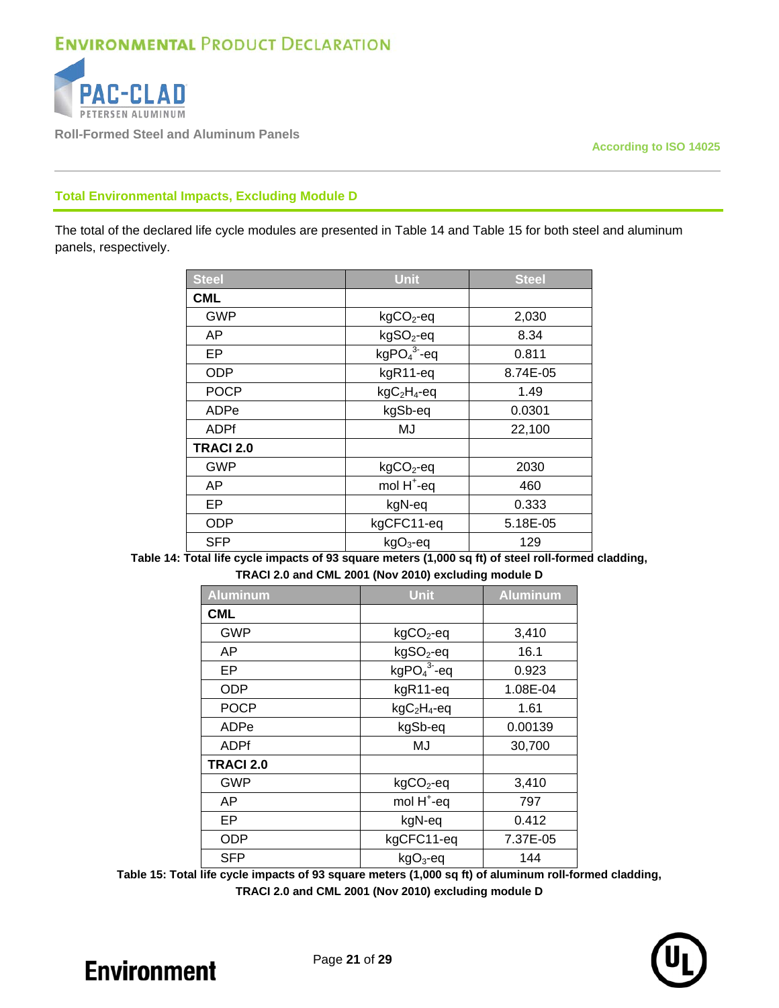

**Roll-Formed Steel and Aluminum Panels**

**According to ISO 14025**

### **Total Environmental Impacts, Excluding Module D**

The total of the declared life cycle modules are presented in [Table 14](#page-20-0) and [Table 15](#page-20-1) for both steel and aluminum panels, respectively.

| <b>Steel</b>     | <b>Unit</b>            | <b>Steel</b> |
|------------------|------------------------|--------------|
| <b>CML</b>       |                        |              |
| <b>GWP</b>       | $kgCO2$ -eq            | 2,030        |
| AP               | kgSO <sub>2</sub> -eq  | 8.34         |
| EP               | $kgPO43-eq$            | 0.811        |
| <b>ODP</b>       | kgR11-eq               | 8.74E-05     |
| <b>POCP</b>      | $kgC2H4 - eq$          | 1.49         |
| ADPe             | kgSb-eq                | 0.0301       |
| <b>ADPf</b>      | MJ                     | 22,100       |
| <b>TRACI 2.0</b> |                        |              |
| <b>GWP</b>       | $kgCO2$ -eq            | 2030         |
| AP               | mol H <sup>+</sup> -eq | 460          |
| EP               | kgN-eq                 | 0.333        |
| <b>ODP</b>       | kgCFC11-eq             | 5.18E-05     |
| <b>SFP</b>       | $kgO3$ -eq             | 129          |

<span id="page-20-0"></span>**Table 14: Total life cycle impacts of 93 square meters (1,000 sq ft) of steel roll-formed cladding, TRACI 2.0 and CML 2001 (Nov 2010) excluding module D**

| <b>Aluminum</b>  | <b>Unit</b>            | <b>Aluminum</b> |  |
|------------------|------------------------|-----------------|--|
| <b>CML</b>       |                        |                 |  |
| <b>GWP</b>       | $kgCO2$ -eq            | 3,410           |  |
| AP               | kgSO <sub>2</sub> -eq  | 16.1            |  |
| EP               | $kgPO43-eq$            | 0.923           |  |
| <b>ODP</b>       | kgR11-eq               | 1.08E-04        |  |
| <b>POCP</b>      | $kgC2H4-eq$            | 1.61            |  |
| ADPe             | kgSb-eq                | 0.00139         |  |
| <b>ADPf</b>      | MJ                     | 30,700          |  |
| <b>TRACI 2.0</b> |                        |                 |  |
| <b>GWP</b>       | $kgCO2$ -eq            | 3,410           |  |
| AP               | mol H <sup>+</sup> -eq | 797             |  |
| EP               | kgN-eq                 | 0.412           |  |
| <b>ODP</b>       | kgCFC11-eq             | 7.37E-05        |  |
| <b>SFP</b>       | $kgO3$ -eq             | 144             |  |

<span id="page-20-1"></span>**Table 15: Total life cycle impacts of 93 square meters (1,000 sq ft) of aluminum roll-formed cladding, TRACI 2.0 and CML 2001 (Nov 2010) excluding module D**

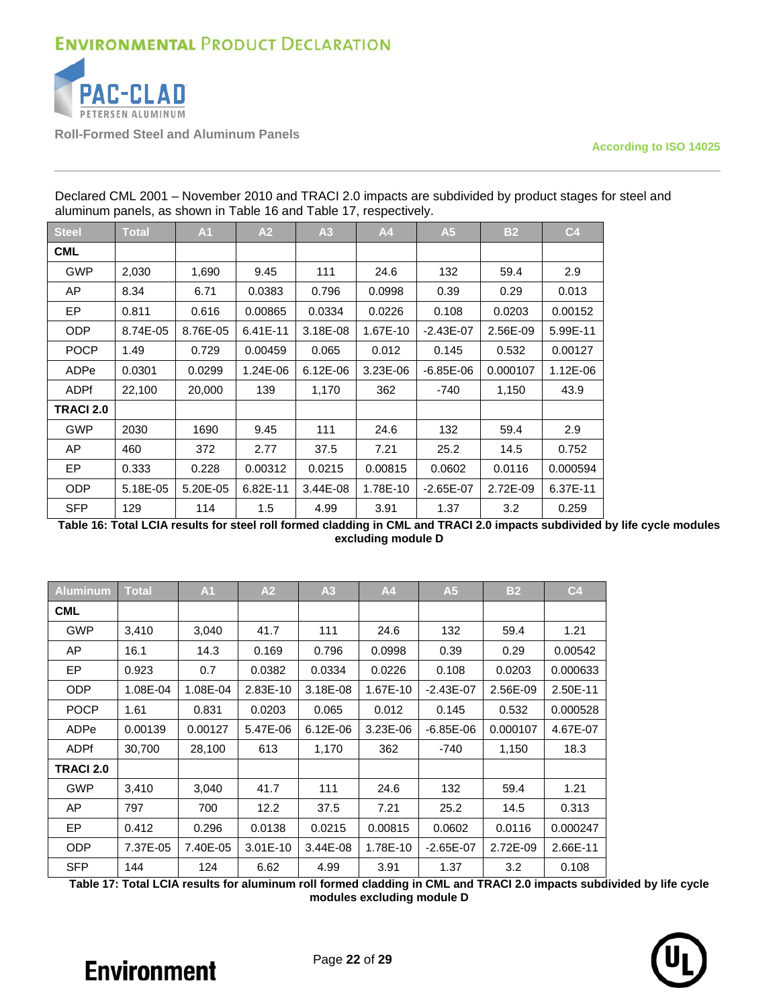

**Roll-Formed Steel and Aluminum Panels**

**According to ISO 14025**

| <b>Steel</b>     | <b>Total</b> | A1       | A2       | A3       | A4       | A <sub>5</sub> | <b>B2</b> | C <sub>4</sub> |
|------------------|--------------|----------|----------|----------|----------|----------------|-----------|----------------|
| <b>CML</b>       |              |          |          |          |          |                |           |                |
| <b>GWP</b>       | 2,030        | 1,690    | 9.45     | 111      | 24.6     | 132            | 59.4      | 2.9            |
| AP.              | 8.34         | 6.71     | 0.0383   | 0.796    | 0.0998   | 0.39           | 0.29      | 0.013          |
| EP.              | 0.811        | 0.616    | 0.00865  | 0.0334   | 0.0226   | 0.108          | 0.0203    | 0.00152        |
| <b>ODP</b>       | 8.74E-05     | 8.76E-05 | 6.41E-11 | 3.18E-08 | 1.67E-10 | $-2.43E - 07$  | 2.56E-09  | 5.99E-11       |
| <b>POCP</b>      | 1.49         | 0.729    | 0.00459  | 0.065    | 0.012    | 0.145          | 0.532     | 0.00127        |
| ADPe             | 0.0301       | 0.0299   | 1.24E-06 | 6.12E-06 | 3.23E-06 | $-6.85E-06$    | 0.000107  | 1.12E-06       |
| <b>ADPf</b>      | 22,100       | 20,000   | 139      | 1,170    | 362      | -740           | 1,150     | 43.9           |
| <b>TRACI 2.0</b> |              |          |          |          |          |                |           |                |
| <b>GWP</b>       | 2030         | 1690     | 9.45     | 111      | 24.6     | 132            | 59.4      | 2.9            |
| AP               | 460          | 372      | 2.77     | 37.5     | 7.21     | 25.2           | 14.5      | 0.752          |
| EP.              | 0.333        | 0.228    | 0.00312  | 0.0215   | 0.00815  | 0.0602         | 0.0116    | 0.000594       |
| <b>ODP</b>       | 5.18E-05     | 5.20E-05 | 6.82E-11 | 3.44E-08 | 1.78E-10 | $-2.65E-07$    | 2.72E-09  | 6.37E-11       |
| <b>SFP</b>       | 129          | 114      | 1.5      | 4.99     | 3.91     | 1.37           | 3.2       | 0.259          |

Declared CML 2001 – November 2010 and TRACI 2.0 impacts are subdivided by product stages for steel and aluminum panels, as shown in [Table 16](#page-21-0) and [Table 17,](#page-21-1) respectively.

<span id="page-21-0"></span>**Table 16: Total LCIA results for steel roll formed cladding in CML and TRACI 2.0 impacts subdivided by life cycle modules excluding module D**

| <b>Aluminum</b>  | <b>Total</b> | A <sub>1</sub> | A2         | A3         | A4         | A <sub>5</sub> | <b>B2</b> | C <sub>4</sub> |
|------------------|--------------|----------------|------------|------------|------------|----------------|-----------|----------------|
| <b>CML</b>       |              |                |            |            |            |                |           |                |
| <b>GWP</b>       | 3,410        | 3,040          | 41.7       | 111        | 24.6       | 132            | 59.4      | 1.21           |
| AP               | 16.1         | 14.3           | 0.169      | 0.796      | 0.0998     | 0.39           | 0.29      | 0.00542        |
| <b>EP</b>        | 0.923        | 0.7            | 0.0382     | 0.0334     | 0.0226     | 0.108          | 0.0203    | 0.000633       |
| <b>ODP</b>       | 1.08E-04     | 1.08E-04       | 2.83E-10   | 3.18E-08   | 1.67E-10   | $-2.43E - 07$  | 2.56E-09  | 2.50E-11       |
| <b>POCP</b>      | 1.61         | 0.831          | 0.0203     | 0.065      | 0.012      | 0.145          | 0.532     | 0.000528       |
| ADPe             | 0.00139      | 0.00127        | 5.47E-06   | $6.12E-06$ | $3.23E-06$ | $-6.85E-06$    | 0.000107  | 4.67E-07       |
| <b>ADPf</b>      | 30,700       | 28,100         | 613        | 1,170      | 362        | -740           | 1,150     | 18.3           |
| <b>TRACI 2.0</b> |              |                |            |            |            |                |           |                |
| <b>GWP</b>       | 3,410        | 3,040          | 41.7       | 111        | 24.6       | 132            | 59.4      | 1.21           |
| AP               | 797          | 700            | 12.2       | 37.5       | 7.21       | 25.2           | 14.5      | 0.313          |
| EP               | 0.412        | 0.296          | 0.0138     | 0.0215     | 0.00815    | 0.0602         | 0.0116    | 0.000247       |
| <b>ODP</b>       | 7.37E-05     | 7.40E-05       | $3.01E-10$ | 3.44E-08   | 1.78E-10   | $-2.65E-07$    | 2.72E-09  | 2.66E-11       |
| <b>SFP</b>       | 144          | 124            | 6.62       | 4.99       | 3.91       | 1.37           | 3.2       | 0.108          |

<span id="page-21-1"></span>**Table 17: Total LCIA results for aluminum roll formed cladding in CML and TRACI 2.0 impacts subdivided by life cycle modules excluding module D**

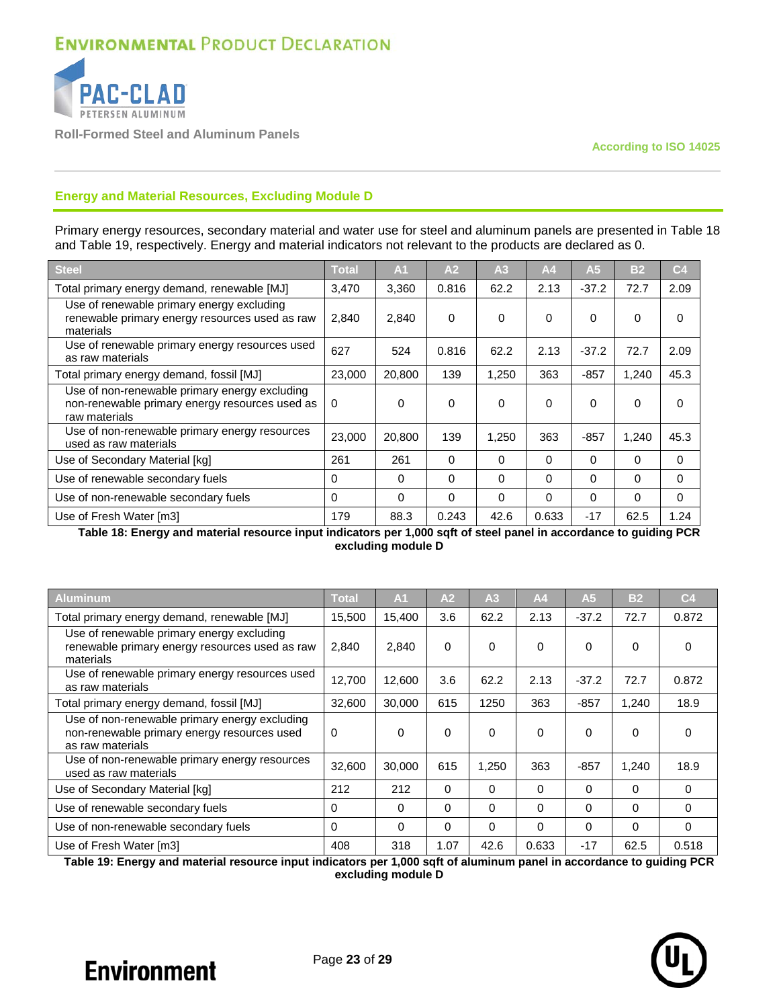

**Roll-Formed Steel and Aluminum Panels**

### **Energy and Material Resources, Excluding Module D**

Primary energy resources, secondary material and water use for steel and aluminum panels are presented in [Table 18](#page-22-0) and [Table 19,](#page-22-1) respectively. Energy and material indicators not relevant to the products are declared as 0.

| Steel                                                                                                            | <b>Total</b> | A <sub>1</sub> | A2       | A <sub>3</sub> | A <sub>4</sub> | A <sub>5</sub> | B <sub>2</sub> | C <sub>4</sub> |
|------------------------------------------------------------------------------------------------------------------|--------------|----------------|----------|----------------|----------------|----------------|----------------|----------------|
| Total primary energy demand, renewable [MJ]                                                                      | 3,470        | 3,360          | 0.816    | 62.2           | 2.13           | $-37.2$        | 72.7           | 2.09           |
| Use of renewable primary energy excluding<br>renewable primary energy resources used as raw<br>materials         | 2.840        | 2,840          | $\Omega$ | 0              | $\Omega$       | $\mathbf{0}$   | 0              | O              |
| Use of renewable primary energy resources used<br>as raw materials                                               | 627          | 524            | 0.816    | 62.2           | 2.13           | $-37.2$        | 72.7           | 2.09           |
| Total primary energy demand, fossil [MJ]                                                                         | 23,000       | 20,800         | 139      | 1,250          | 363            | $-857$         | 1,240          | 45.3           |
| Use of non-renewable primary energy excluding<br>non-renewable primary energy resources used as<br>raw materials | $\Omega$     | 0              | 0        | 0              | $\Omega$       | $\Omega$       | 0              | 0              |
| Use of non-renewable primary energy resources<br>used as raw materials                                           | 23,000       | 20,800         | 139      | 1,250          | 363            | -857           | 1,240          | 45.3           |
| Use of Secondary Material [kg]                                                                                   | 261          | 261            | 0        | $\Omega$       | 0              | 0              | $\Omega$       | 0              |
| Use of renewable secondary fuels                                                                                 | $\Omega$     | 0              | 0        | 0              | 0              | 0              | 0              | 0              |
| Use of non-renewable secondary fuels                                                                             | $\Omega$     | 0              | $\Omega$ | 0              | $\Omega$       | $\Omega$       | $\Omega$       | $\Omega$       |
| Use of Fresh Water [m3]                                                                                          | 179          | 88.3           | 0.243    | 42.6           | 0.633          | $-17$          | 62.5           | 1.24           |

<span id="page-22-0"></span>**Table 18: Energy and material resource input indicators per 1,000 sqft of steel panel in accordance to guiding PCR excluding module D**

| <b>Aluminum</b>                                                                                                  | Total    | $\mathsf{A}1$ | A <sub>2</sub> | A <sub>3</sub> | A <sub>4</sub> | A <sub>5</sub> | B <sub>2</sub> | C4       |
|------------------------------------------------------------------------------------------------------------------|----------|---------------|----------------|----------------|----------------|----------------|----------------|----------|
| Total primary energy demand, renewable [MJ]                                                                      | 15,500   | 15,400        | 3.6            | 62.2           | 2.13           | $-37.2$        | 72.7           | 0.872    |
| Use of renewable primary energy excluding<br>renewable primary energy resources used as raw<br>materials         | 2,840    | 2,840         | $\Omega$       | $\Omega$       | 0              | $\Omega$       | 0              | $\Omega$ |
| Use of renewable primary energy resources used<br>as raw materials                                               | 12,700   | 12,600        | 3.6            | 62.2           | 2.13           | $-37.2$        | 72.7           | 0.872    |
| Total primary energy demand, fossil [MJ]                                                                         | 32.600   | 30,000        | 615            | 1250           | 363            | $-857$         | 1,240          | 18.9     |
| Use of non-renewable primary energy excluding<br>non-renewable primary energy resources used<br>as raw materials | $\Omega$ | $\Omega$      | $\Omega$       | $\Omega$       | $\Omega$       | $\Omega$       | $\Omega$       | $\Omega$ |
| Use of non-renewable primary energy resources<br>used as raw materials                                           | 32,600   | 30,000        | 615            | 1,250          | 363            | $-857$         | 1,240          | 18.9     |
| Use of Secondary Material [kg]                                                                                   | 212      | 212           | $\Omega$       | $\Omega$       | 0              | 0              | $\Omega$       | $\Omega$ |
| Use of renewable secondary fuels                                                                                 | 0        | 0             | $\mathbf 0$    | $\Omega$       | $\Omega$       | 0              | 0              | 0        |
| Use of non-renewable secondary fuels                                                                             | $\Omega$ | $\Omega$      | 0              | $\Omega$       | $\Omega$       | $\Omega$       | $\Omega$       | $\Omega$ |
| Use of Fresh Water [m3]                                                                                          | 408      | 318           | 1.07           | 42.6           | 0.633          | $-17$          | 62.5           | 0.518    |

<span id="page-22-1"></span>**Table 19: Energy and material resource input indicators per 1,000 sqft of aluminum panel in accordance to guiding PCR excluding module D**

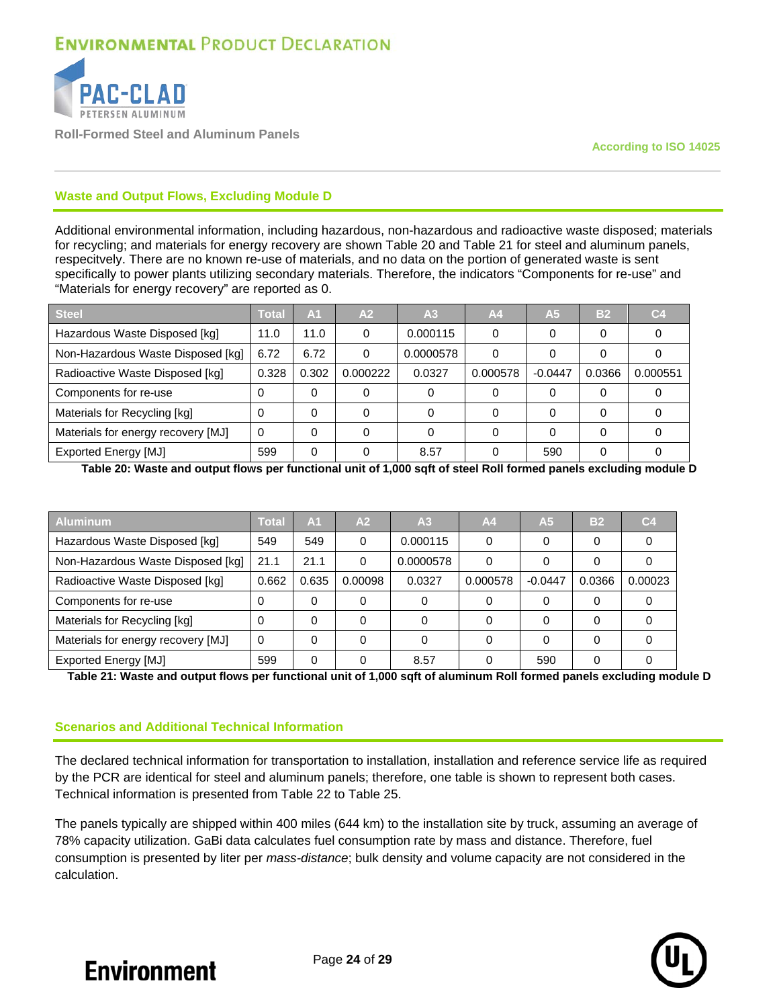

**Roll-Formed Steel and Aluminum Panels**

#### **Waste and Output Flows, Excluding Module D**

Additional environmental information, including hazardous, non-hazardous and radioactive waste disposed; materials for recycling; and materials for energy recovery are shown [Table 20](#page-23-0) and [Table 21](#page-23-1) for steel and aluminum panels, respecitvely. There are no known re-use of materials, and no data on the portion of generated waste is sent specifically to power plants utilizing secondary materials. Therefore, the indicators "Components for re-use" and "Materials for energy recovery" are reported as 0.

| <b>Steel</b>                       | Total    | A <sub>1</sub> | A2       | A <sub>3</sub> | A <sub>4</sub> | A <sub>5</sub> | B <sub>2</sub> | C4       |
|------------------------------------|----------|----------------|----------|----------------|----------------|----------------|----------------|----------|
| Hazardous Waste Disposed [kg]      | 11.0     | 11.0           |          | 0.000115       |                | 0              |                |          |
| Non-Hazardous Waste Disposed [kg]  | 6.72     | 6.72           |          | 0.0000578      |                |                |                |          |
| Radioactive Waste Disposed [kg]    | 0.328    | 0.302          | 0.000222 | 0.0327         | 0.000578       | $-0.0447$      | 0.0366         | 0.000551 |
| Components for re-use              | 0        |                |          |                |                | 0              |                |          |
| Materials for Recycling [kg]       | 0        |                |          |                |                | 0              |                |          |
| Materials for energy recovery [MJ] | $\Omega$ |                |          |                |                | 0              |                |          |
| <b>Exported Energy [MJ]</b>        | 599      |                |          | 8.57           |                | 590            |                |          |

<span id="page-23-0"></span>**Table 20: Waste and output flows per functional unit of 1,000 sqft of steel Roll formed panels excluding module D**

| <b>Aluminum</b>                    | Total | A <sub>1</sub> | A <sub>2</sub> | A <sub>3</sub> | A <sub>4</sub> | A5        | B <sub>2</sub> | C4      |
|------------------------------------|-------|----------------|----------------|----------------|----------------|-----------|----------------|---------|
| Hazardous Waste Disposed [kg]      | 549   | 549            | 0              | 0.000115       | 0              |           |                |         |
| Non-Hazardous Waste Disposed [kg]  | 21.1  | 21.1           |                | 0.0000578      | 0              |           |                |         |
| Radioactive Waste Disposed [kg]    | 0.662 | 0.635          | 0.00098        | 0.0327         | 0.000578       | $-0.0447$ | 0.0366         | 0.00023 |
| Components for re-use              | 0     | 0              |                |                | 0              |           |                |         |
| Materials for Recycling [kg]       | 0     | 0              |                |                | 0              |           | 0              |         |
| Materials for energy recovery [MJ] |       |                |                |                | 0              |           |                |         |
| <b>Exported Energy [MJ]</b>        | 599   | $\Omega$       |                | 8.57           | 0              | 590       | $\Omega$       |         |

<span id="page-23-1"></span>**Table 21: Waste and output flows per functional unit of 1,000 sqft of aluminum Roll formed panels excluding module D**

#### **Scenarios and Additional Technical Information**

The declared technical information for transportation to installation, installation and reference service life as required by the PCR are identical for steel and aluminum panels; therefore, one table is shown to represent both cases. Technical information is presented from [Table 22](#page-24-0) to [Table 25.](#page-25-0)

The panels typically are shipped within 400 miles (644 km) to the installation site by truck, assuming an average of 78% capacity utilization. GaBi data calculates fuel consumption rate by mass and distance. Therefore, fuel consumption is presented by liter per *mass-distance*; bulk density and volume capacity are not considered in the calculation.

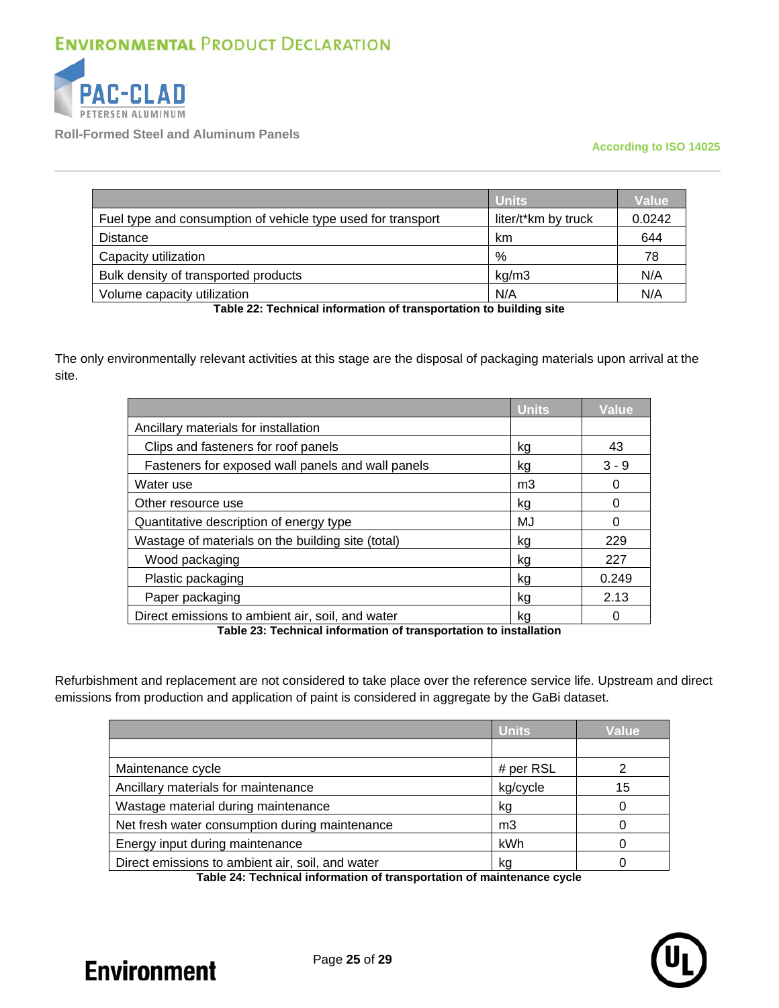

**Roll-Formed Steel and Aluminum Panels**

#### **According to ISO 14025**

|                                                              | <b>Units</b>        | <b>Value</b> |
|--------------------------------------------------------------|---------------------|--------------|
| Fuel type and consumption of vehicle type used for transport | liter/t*km by truck | 0.0242       |
| Distance                                                     | km                  | 644          |
| Capacity utilization                                         | %                   | 78           |
| Bulk density of transported products                         | kq/m3               | N/A          |
| Volume capacity utilization                                  | N/A                 | N/A          |

**Table 22: Technical information of transportation to building site**

<span id="page-24-0"></span>The only environmentally relevant activities at this stage are the disposal of packaging materials upon arrival at the site.

|                                                   | <b>Units</b>   | <b>Value</b> |
|---------------------------------------------------|----------------|--------------|
| Ancillary materials for installation              |                |              |
| Clips and fasteners for roof panels               |                | 43           |
| Fasteners for exposed wall panels and wall panels | kg             | $3 - 9$      |
| Water use                                         | m <sub>3</sub> |              |
| Other resource use                                | kg             |              |
| Quantitative description of energy type           | MJ             |              |
| Wastage of materials on the building site (total) | kg             | 229          |
| Wood packaging                                    | kg             | 227          |
| Plastic packaging                                 | kg             | 0.249        |
| Paper packaging                                   | kg             | 2.13         |
| Direct emissions to ambient air, soil, and water  | kg             |              |

**Table 23: Technical information of transportation to installation**

Refurbishment and replacement are not considered to take place over the reference service life. Upstream and direct emissions from production and application of paint is considered in aggregate by the GaBi dataset.

|                                                  | <b>Units</b> | Value |
|--------------------------------------------------|--------------|-------|
|                                                  |              |       |
| Maintenance cycle                                | # per $RSL$  |       |
| Ancillary materials for maintenance              | kg/cycle     | 15    |
| Wastage material during maintenance              | kg           |       |
| Net fresh water consumption during maintenance   | mЗ           |       |
| Energy input during maintenance                  | kWh          |       |
| Direct emissions to ambient air, soil, and water | kg           |       |

**Table 24: Technical information of transportation of maintenance cycle**

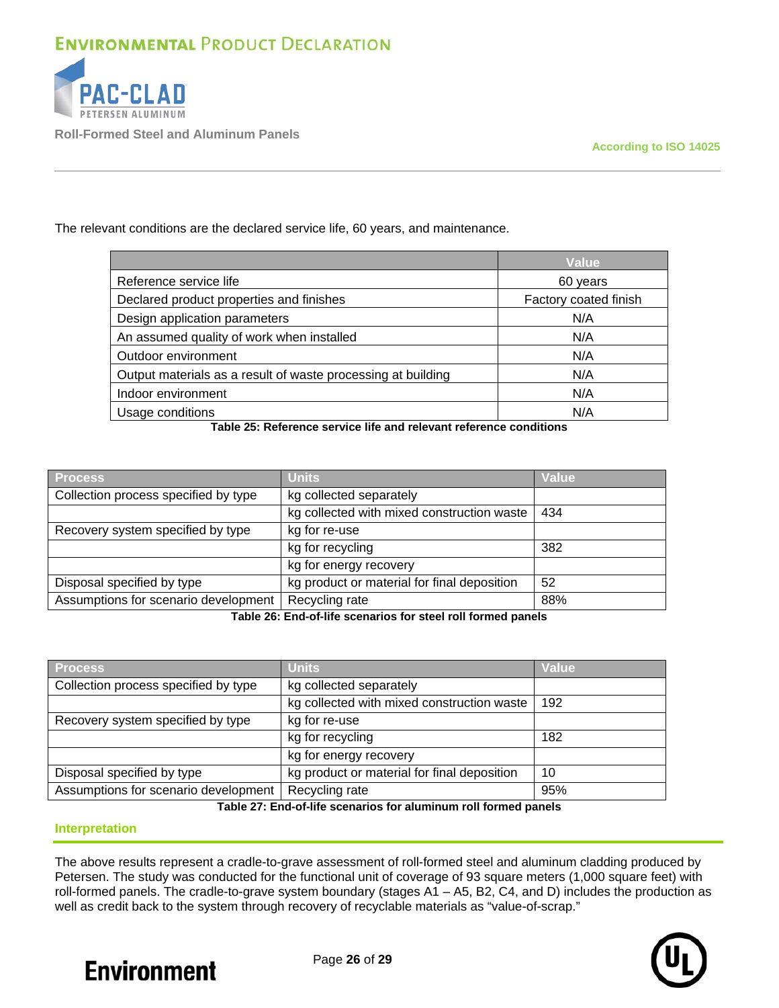

**Roll-Formed Steel and Aluminum Panels**

The relevant conditions are the declared service life, 60 years, and maintenance.

|                                                              | <b>Value</b>          |
|--------------------------------------------------------------|-----------------------|
| Reference service life                                       | 60 years              |
| Declared product properties and finishes                     | Factory coated finish |
| Design application parameters                                | N/A                   |
| An assumed quality of work when installed                    | N/A                   |
| Outdoor environment                                          | N/A                   |
| Output materials as a result of waste processing at building | N/A                   |
| Indoor environment                                           | N/A                   |
| Usage conditions                                             | N/A                   |

**Table 25: Reference service life and relevant reference conditions**

<span id="page-25-0"></span>

| <b>Process</b>                       | <b>Units</b>                                | <b>Value</b> |
|--------------------------------------|---------------------------------------------|--------------|
| Collection process specified by type | kg collected separately                     |              |
|                                      | kg collected with mixed construction waste  | 434          |
| Recovery system specified by type    | kg for re-use                               |              |
|                                      | kg for recycling                            | 382          |
|                                      | kg for energy recovery                      |              |
| Disposal specified by type           | kg product or material for final deposition | 52           |
| Assumptions for scenario development | Recycling rate                              | 88%          |

**Table 26: End-of-life scenarios for steel roll formed panels**

| <b>Process</b>                       | <b>Units</b>                                | Value |
|--------------------------------------|---------------------------------------------|-------|
| Collection process specified by type | kg collected separately                     |       |
|                                      | kg collected with mixed construction waste  | 192   |
| Recovery system specified by type    | kg for re-use                               |       |
|                                      | kg for recycling                            | 182   |
|                                      | kg for energy recovery                      |       |
| Disposal specified by type           | kg product or material for final deposition | 10    |
| Assumptions for scenario development | Recycling rate                              | 95%   |

**Table 27: End-of-life scenarios for aluminum roll formed panels**

### **Interpretation**

The above results represent a cradle-to-grave assessment of roll-formed steel and aluminum cladding produced by Petersen. The study was conducted for the functional unit of coverage of 93 square meters (1,000 square feet) with roll-formed panels. The cradle-to-grave system boundary (stages A1 – A5, B2, C4, and D) includes the production as well as credit back to the system through recovery of recyclable materials as "value-of-scrap."



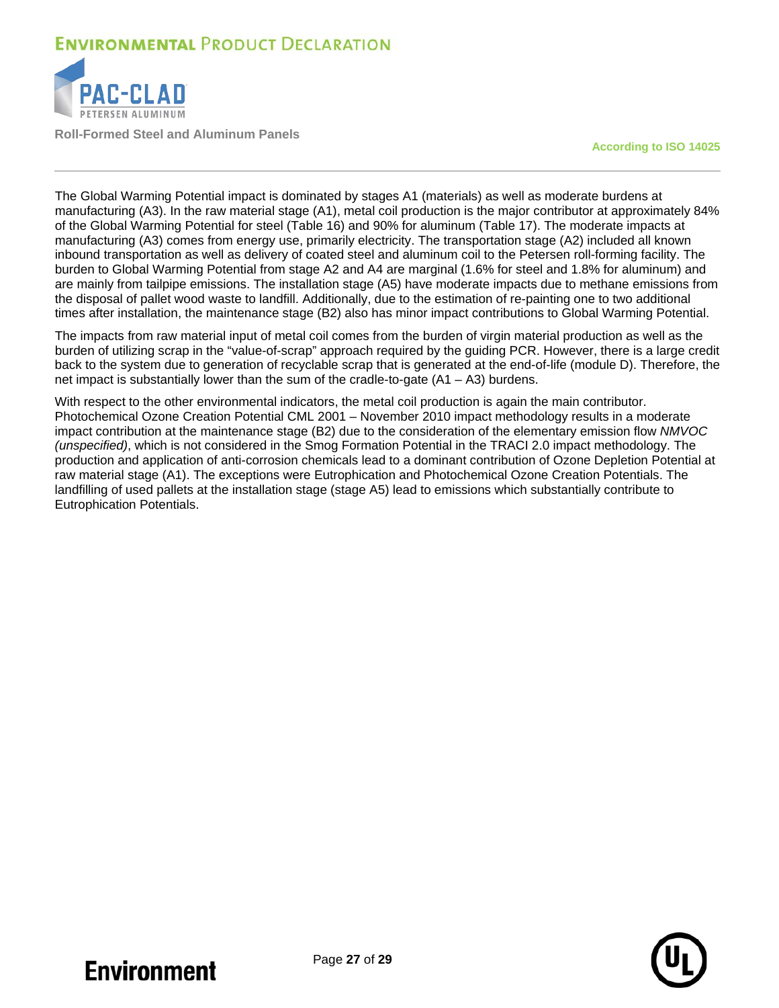

**Roll-Formed Steel and Aluminum Panels**

**According to ISO 14025**

The Global Warming Potential impact is dominated by stages A1 (materials) as well as moderate burdens at manufacturing (A3). In the raw material stage (A1), metal coil production is the major contributor at approximately 84% of the Global Warming Potential for steel [\(Table 16\)](#page-21-0) and 90% for aluminum [\(Table 17\)](#page-21-1). The moderate impacts at manufacturing (A3) comes from energy use, primarily electricity. The transportation stage (A2) included all known inbound transportation as well as delivery of coated steel and aluminum coil to the Petersen roll-forming facility. The burden to Global Warming Potential from stage A2 and A4 are marginal (1.6% for steel and 1.8% for aluminum) and are mainly from tailpipe emissions. The installation stage (A5) have moderate impacts due to methane emissions from the disposal of pallet wood waste to landfill. Additionally, due to the estimation of re-painting one to two additional times after installation, the maintenance stage (B2) also has minor impact contributions to Global Warming Potential.

The impacts from raw material input of metal coil comes from the burden of virgin material production as well as the burden of utilizing scrap in the "value-of-scrap" approach required by the guiding PCR. However, there is a large credit back to the system due to generation of recyclable scrap that is generated at the end-of-life (module D). Therefore, the net impact is substantially lower than the sum of the cradle-to-gate  $(A1 - A3)$  burdens.

With respect to the other environmental indicators, the metal coil production is again the main contributor. Photochemical Ozone Creation Potential CML 2001 – November 2010 impact methodology results in a moderate impact contribution at the maintenance stage (B2) due to the consideration of the elementary emission flow *NMVOC (unspecified)*, which is not considered in the Smog Formation Potential in the TRACI 2.0 impact methodology. The production and application of anti-corrosion chemicals lead to a dominant contribution of Ozone Depletion Potential at raw material stage (A1). The exceptions were Eutrophication and Photochemical Ozone Creation Potentials. The landfilling of used pallets at the installation stage (stage A5) lead to emissions which substantially contribute to Eutrophication Potentials.

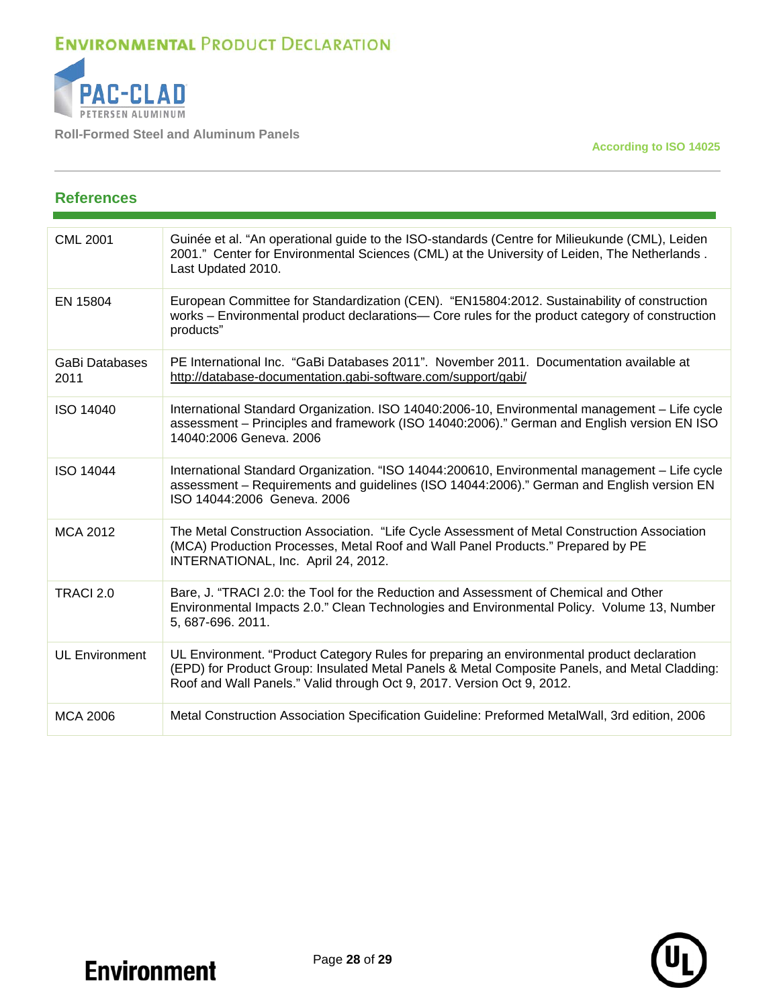

**Roll-Formed Steel and Aluminum Panels**

**According to ISO 14025**

### **References**  CML 2001 Guinée et al. "An operational guide to the ISO-standards (Centre for Milieukunde (CML), Leiden 2001." Center for Environmental Sciences (CML) at the University of Leiden, The Netherlands . Last Updated 2010. EN 15804 European Committee for Standardization (CEN). "EN15804:2012. Sustainability of construction works – Environmental product declarations— Core rules for the product category of construction products" GaBi Databases 2011 PE International Inc. "GaBi Databases 2011". November 2011. Documentation available at <http://database-documentation.gabi-software.com/support/gabi/> ISO 14040 International Standard Organization. ISO 14040:2006-10, Environmental management – Life cycle assessment – Principles and framework (ISO 14040:2006)." German and English version EN ISO 14040:2006 Geneva. 2006 ISO 14044 International Standard Organization. "ISO 14044:200610, Environmental management – Life cycle assessment – Requirements and guidelines (ISO 14044:2006)." German and English version EN ISO 14044:2006 Geneva. 2006 MCA 2012 **The Metal Construction Association.** "Life Cycle Assessment of Metal Construction Association (MCA) Production Processes, Metal Roof and Wall Panel Products." Prepared by PE INTERNATIONAL, Inc. April 24, 2012. TRACI 2.0 Bare, J. "TRACI 2.0: the Tool for the Reduction and Assessment of Chemical and Other Environmental Impacts 2.0." Clean Technologies and Environmental Policy. [Volume 13, Number](http://www.springerlink.com/content/1618-954x/13/5/)  [5,](http://www.springerlink.com/content/1618-954x/13/5/) 687-696. 2011. UL Environment UL Environment. "Product Category Rules for preparing an environmental product declaration (EPD) for Product Group: Insulated Metal Panels & Metal Composite Panels, and Metal Cladding: Roof and Wall Panels." Valid through Oct 9, 2017. Version Oct 9, 2012. MCA 2006 Metal Construction Association Specification Guideline: Preformed MetalWall, 3rd edition, 2006